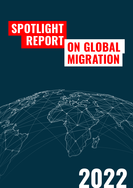# **SPOTLIGHT ON GLOBAL MIGRATION**

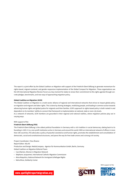The report is a joint effort by the Global Coalition on Migration with support of the Friedrich-Ebert-Stiftung to generate momentum for rights-based, migrant-centered, and gender-responsive implementation of the Global Compact for Migration. These organizations see the UN International Migration Review Forum as a key moment for states to renew their commitment to this rights agenda through concrete pledges, benchmarks, and new ways of approaching migration policy.

#### **Global Coalition on Migration (GCM)**

The Global Coalition on Migration is a multi-sector alliance of regional and international networks that strives to impact global policy on migration and migrant and labor rights. This is done by sharing strategies, mobilizing people, and leading in common action towards advancing human rights and global justice for migrants and their families. GCM's approach to rights-based policy is both rooted in and dependent on its members' ability to connect that framework to implementation at national, state or even city levels. As a network of networks, GCM members are grounded in their regional and national realities, where migration policies play out in varying ways.

#### With support of the

#### **Friedrich-Ebert-Stiftung (FES)**

The Friedrich-Ebert-Stiftung is the oldest political foundation in Germany with a rich tradition in social democracy dating back to its founding in 1925. It is a non-profit institution active in Germany and around the world. With an international network of offices in more than 100 countries, FES advocates a policy of peaceful coexistence and human rights, promotes the establishment and consolidation of democratic, social and constitutional structures, and paves the way for free trade unions and a strong civil society.

#### Project Coordinator: Chus Álvarez

Report Editor: Alia Ali

Production and Design: MediaCompany - Agentur für Kommunikation GmbH, Berlin, Germany

- Global Coalition on Migration Editorial Team:
- Carol Barton, Women in Migration Network
- Stéphane Jacquemet, International Catholic Migration Commission
- Alma Maquitico, National Network for Immigrant & Refugee Rights
- Neha Misra, Solidarity Center



With support of the

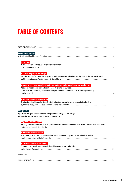# **TABLE OF CONTENTS**

| Recommendations                                                                                                                       |
|---------------------------------------------------------------------------------------------------------------------------------------|
| <b>Overview</b><br>"Safe, orderly, and regular migration" for whom?                                                                   |
| <b>Regular migration pathways</b><br>People, not profit: coherent migration pathways centered in human rights and decent work for all |
| Access to services, social protections, and economic, social, and cultural rights                                                     |
| Access to healthcare for undocumented migrants in Europe:                                                                             |
| COVID-19, vaccinations, and efforts to spur access to essential care from the ground up                                               |
| <b>Criminalization and detention</b><br>Ending immigration detention & criminalization by centering grassroots leadership             |
| Infographic<br>Rights-based, gender-responsive, and permanent regular pathways                                                        |
| <b>Migrant workers' rights</b><br>Moving for livelihood and life: Migrant domestic workers between Africa and the Gulf and the Levant |
| <b>Protection at the borders</b><br>The impacts of border controls and externalization on migrants in social vulnerability            |
| <b>Climate-related displacement</b><br>Climate crisis heightens inequalities, drives precarious migration                             |
|                                                                                                                                       |
|                                                                                                                                       |
|                                                                                                                                       |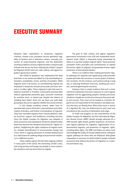# <span id="page-3-0"></span>**EXECUTIVE SUMMARY**

Rampant labor exploitation in temporary migration schemes, climate crisis, prevalent vaccine apartheid, tragedies at borders and in detention centers, everyday precarities of undocumented migrants, and the deplorable working conditions of many migrant workers unequivocally indicate that we are far from realizing the Global Compact for Migration (GCM) vision of a 'safe, orderly, and regular migration' governance system.

The COVID-19 pandemic has emphasized the deep fault lines in our world and added to it by exacerbating nationalism, xenophobia, racism, and fear of outsiders. While migrants work in all sectors, an overwhelming majority are employed in temporary and precarious jobs and have nominal or no labor rights. Those migrants in jobs that were labeled as 'essential' or 'frontline' continued to work but often without appropriate preventive gear, economic incentives for overtime work, or hazard pay. Despite the rhetoric of 'building back better', there has not been any multi-state grouping to discuss an urgently-needed new social contract.

In this deeply troubling context, states have responded with closure of borders, externalization and militarization of borders, and further criminalization of migrants. They have excluded migrants from critical pandemic-related economic support and healthcare, including vaccines. Since the Global Compact for Migration was adopted in 2018, precarious and exploitative temporary bilateral labor deals have become the standard instrument for 'regular migration', heightening the rights violations of migrant workers. Despite intensification of environmental change and crises, there is ongoing dismissal of climate-displacement as a valid reason for seeking refuge and permanent residency in a different country.

These realities ignore the fact that ongoing conflicts in many parts of the world, the worsening climate crises, and rising poverty and hunger put people in more vulnerable situations and may force them to migrate.

The goal of 'safe, orderly, and regular migration' governance envisioned in the GCM and Sustainable Development Goals (SDGs) is frequently being interpreted by states in a way that violates migrant rights. These practices contradict GCM's principles and commitments: to uphold the human rights of migrants and guarantee human rights protection at international borders.

There is no evidence that creating permanent regular pathways for migrants and regularizing undocumented people will strain the economic or social system of destination countries. On the contrary, such policies will go a long way in reducing livelihood insecurity, building just societies, and strengthening the economy.

However, there is ample evidence that such a vision cannot be realized by draconian measures to curb irregular migration and by aggravating people's already precarious situations. People are on the move because they want safety and security. They must not be treated as criminals. Migrants are not responsible for the disasters and abject poverty that they are fleeing from. When they move in search of a dignified life, they are determined to work hard and contribute to the countries of destination and origin.

To make real progress on the commitments of the Global Compact for Migration, the first International Migration Review Forum (IMRF) should strongly advocate for a shift towards rights-based, gender-responsive, and permanent regular pathways for migration, regularization of undocumented migrants, and protection of migrants' rights, including labor rights. The IMRF and follow up action must acknowledge the reality of climate-displacement, calling for regular pathways for those who are displaced. Real global cooperation is necessary to build resilient, people-centered economies that address the drivers of migration in a coherent and holistic way.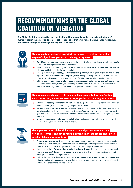# <span id="page-4-0"></span>**RECOMMENDATIONS BY THE GLOBAL COALITION ON MIGRATION**

**The Global Coalition on Migration calls on the United Nations and member states to put migrants' human rights at the center and promote coherent policies that offer rights-based, gender-responsive, and permanent regular pathways and regularization for all.**



### **States must take measures to protect the human rights of migrants at all stages of migration regardless of their migratory status.**

- Demilitarize all migration policies and procedures, particularly at borders, and shift resources to sustainable development and decent work for all.
- → 'Safe, regular, and orderly' migration is **not a cover to legitimize exploitative temporary labor schemes** and heightened enforcement policies.
- Through human rights-based, gender-responsive pathways for regular migration and for the **regularization of undocumented migrants**, states must provide options for permanent residence, citizenship, and meaningful participation in civic life to facilitate social and family cohesion.
- → Address migration through a **whole-of-government approach and policy coherence** that promotes economic, social, racial, climate, and gender justice and centers the objectives of economic, trade, migration, and foreign policy on the needs of people and protecting the environment.

|  |  | ____<br>the control of the control of the<br>____<br>___ |  |
|--|--|----------------------------------------------------------|--|
|--|--|----------------------------------------------------------|--|

### **States must extend equal rights to migrants, including full workers' rights, social protection, and access to services, regardless of their migration status.**

- → **Address intersecting forms of discrimination** in policy: gender identity or expression, race, ethnicity, nationality, class, sexual orientation, age, religion, and disability.
- **Recognize the agency of workers** to represent themselves and integrate the ILO's tripartite structure of consultations (between the government, workers', and employers' representatives) as a central governance mechanism for economic and social integration of all workers, including refugees and migrants.
- Recognize migrants as right holders and clearly establish migrants' entitlement to basic services, secondary care, and access to the justice system.



### **The implementation of the Global Compact on Migration must lead to a new social contract and not to "building back better" the broken and flawed circular global migration edifice.**

- Promote a new social contract that ensures quality basic services and universal social protection; community safety; ability to recover from climate impacts; rule of law; mechanisms to end all discrimination, such as by race or gender; and decent, stable, family-sustaining jobs.
- Commit to a priority **focus on climate and migration with a gender lens**, including creating mechanisms within the UN system to effectively and coherently link global policy in climate, migration, development, and human rights arenas.
- Rethink the concept of development and **create national policies to avert, minimize, and address climate-related displacement** in a way that is gender-responsive, inclusive, and contributes to building resilience among affected populations.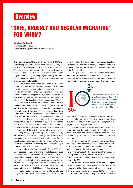# <span id="page-5-0"></span>**Overview**

# **"SAFE, ORDERLY AND REGULAR MIGRATION" FOR WHOM?**

### **Bandana Pattanaik**

International Coordinator, Global Alliance Against Traffic in Women (GAATW)

The first International Migration Review Forum (IMRF) to review the implementation of the Global Compact or Safe, Orderly, and Regular Migration (GCM) takes place in May 2022. Regional reviews were carried out by state parties during 2020-2021 and the IMRF is an opportunity for civil society organizations (CSOs), including migrant-led organizations and migrants themselves, to hold states accountable for the promises they made in 2018.

The GCM was the culmination of many years of work by state and non-state actors around the world to improve migration governance and uphold human rights and humanitarian commitments towards migrants. Along with the Global Compact on Refugees (GCR), it reiterates the vision articulated in the New York Declaration for Refugees and Migrants, and the Sustainable Development Goals (SDGs).

The Covid-19 pandemic has disrupted and destroyed the lives and livelihoods of millions of people around the world. While the virus has certainly caused an unprecedented health crisis, it has also revealed the deep fault lines in our world. The UN Secretary-General Antonio Guterres reiterated the sentiments of many people when he said in his Nelson Mandela Annual Lecture that the pandemic has exposed "fallacies and falsehoods everywhere—the lie that free markets can deliver healthcare for all, the fiction that unpaid care work is not work, the delusion that we live in a post-racist world, the myth that we are all in the same boat".

Regrettably, despite strong civil society advocacy, world leaders have not yet come together to address vaccine inequality<sup>1</sup>, let alone strategize for a global transformational recovery program. Despite the rhetoric of 'building back better', there has not been any multi-state grouping to discuss a new social contract.

According to the World Inequality Report 2022, after three decades of trade and financial globalization, global inequalities remain extremely stark. The wealthiest 10% of the world's population has more than 50% of the world's income while people in the lower-income group constituting [around 50% of the population own only 2% of the world's](#page-32-0)  wealth<sup>2</sup>. Not surprisingly, the pandemic has marked the steepest increase in global billionaires' share of wealth.

Ending poverty is foremost on the SDG agenda, but hunger, extreme poverty, and unemployment are on the

rise globally. In rich countries, state stimulus packages have prevented a massive rise in poverty, though migrants were often excluded, but that has not been the case in countries of the Global South.

The pandemic has also exacerbated nationalism, xenophobia, racism, and fear of outsiders. Asians and people of Asian descent have faced increased levels of violence, discrimination, and hate crimes around the world. How-



The wealthiest 10% of the world's population has more than 50% of the world's income while people in the lower-income group constituting around 50% of the population own only 2% of the world's wealth.

ever, in many countries, anyone perceived as an outsider has been subjected to violence, exclusion, or hatred. These 'outsiders' are notably migrants, and also people from racial, ethnic, and religious minorities<sup>3</sup>.

Migrants in Global Coalition networks have also conveyed that many international and internal migrants who returned to their hometowns during the pandemic were met with suspicion and ostracized as potential carriers of the virus.

How have the world's migrants fared in this deeply troubling context, and what have been the states' responses to their situations? The six short essays in this report describe and analyze the reality on the ground in specific regions of the world. Sadly, the situations in other regions are not very different. Clearly, now is the time to reflect and act if the signatory states want to deliver on the commitments made in the GCM.

As per the estimates of the United Nations Department of Economic and Social Affairs (UNDESA) there were around 281 million international migrants in the world in [2020 and women migrants comprised 48.1% of that num](#page-32-0)ber4 . Therefore, international migrants constitute 3.6% of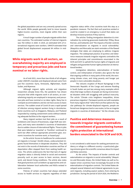the global population and are very unevenly spread across the world. While people generally tend to move towards higher-income countries, most migrate within their own regions.

A much larger number of people migrate within their own countries. The estimated number of internal migrants was 763 million in 2020. In 2019, an estimated 62% of international migrants were workers. UNHCR estimated that global forced displacement surpassed 84 million in mid-2021.

### **While migrants work in all sectors, an overwhelming majority are employed in temporary and precarious jobs and have nominal or no labor rights.**

As of mid-2021, more than two-thirds of all refugees under UNHCR's mandate and displaced abroad came from just five countries—Syria, Venezuela, Afghanistan, South Sudan, and Myanmar.

Although migrant rights activists and migration researchers already knew this, the pandemic has shown everyone that while migrants work in all sectors, an overwhelming majority are employed in temporary and precarious jobs and have nominal or no labor rights. Many live in cramped accommodations and do not have access to basic services. The sudden onset of Covid-19 saw a rapid spread of infection among migrant workers living in dormitories. Some countries such as Singapore, Malaysia, and Thailand responded by creating containment zones without extending adequate facilities to the migrant workers.

Many migrant workers lost their jobs as a result of lockdowns and closure of businesses, wage theft was rampant, and many were stranded in countries of destination due to sudden closure of international flights. Those in jobs that were labeled as 'essential' or 'frontline' continued to work but often without appropriate preventive gear, economic incentives for overtime work, or hazard pay<sup>5</sup>.

As the article 'Access to healthcare for undocumented migrants in Europe' (Smith) shows, undocumented migrants found themselves in desperate situations. They did not exist in the records of destination countries and fear of deportation often stopped them from seeking health services. The article underscores the fact that lack of regular migration status is directly linked to social and economic precarity such as poor access to basic services, decent work, and decent living conditions. The article also notes that good practices such as bottom-up approaches and collaboration between local authorities and NGOs existed in some countries.

Policies of certain countries had always extended access to health services to migrants regardless of their migration status while a few countries took this step as a pandemic measure. The fact that such practices existed or could be created in an emergency is proof that states can develop inclusive practices if they want to.

The articles 'Ending immigration detention & criminalization by centering grassroots leadership' (Pillay, Boua Kiernan, and Gottardo) and 'The impacts of border controls and externalization on migrants in social vulnerability' (Maquitico and Moncada) are stark reminders of the flawed strategies that states are employing to address irregular migration. The widespread practice of punitive and deterrence measures towards irregular migrants contradicts the inherent principles and commitments enunciated in the GCM and GCR: to uphold the human rights of migrants and refugees and guarantee human rights protection at international borders.

Immigration detention, externalization of border control, and militarization of borders also ignore the fact that ongoing conflicts in many parts of the world, the worsening climate crises, and rising poverty and hunger put people in more vulnerable situations.

The volcanic eruption of Mount Nyiragongo in the Democratic Republic of the Congo and extreme flooding in South Sudan are just two among many examples which show that large numbers of people are facing environmental disasters while still struggling with political insecurity. The article 'Climate crisis heightens inequalities, drives precarious migration' (Tactaquin) points out with examples from many regions that "when there are few options for regular pathways for climate-displaced migrants, people are forced over dangerous land or sea routes, to live as irregular migrants in countries of destination." Yet the climate crisis

# **Punitive and deterrence measures towards irregular migrants contradicts the commitment of guaranteeing human rights protection at international borders enunciated in the GCM and GCR.**

is not considered a valid reason for seeking permanent residency or refuge in a different country—a particularly glaring omission given the scientific consensus about its impact and likely outcomes.

As the article 'The impacts of border controls and externalization on migrants in social vulnerability' (Maquitico and Moncada) shows, the United States (as well as European Union countries) have increasingly focused on the externalization of migration controls. The United States developed several bilateral and trilateral agreements to prevent migrants, including asylum seekers, from entering its jurisdiction. During the period of 2014-2020, the Mediterra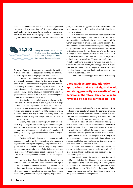nean Sea has claimed the lives of over 21,200 people while they were trying to enter Europe<sup>6</sup>. The paper also points out that human rights activists, humanitarian workers, researchers, and those providing legal counsel or services to migrants have been criminalized. The tensions between the



During the period of 2014-2020, the Mediterranean Sea has claimed the lives of over 21,200 people while they were trying to enter Europe.

European Union and Belarus are testimony to the fact that migrants and displaced people can pay the price of instrumentalizing and politicizing migration with their lives.

Climate crisis, prevalent vaccine apartheid, tragedies at the borders and in the detention centers, everyday precarities of undocumented migrants, and the deplorable working conditions of many migrant workers point to a worrying reality. It is imperative that we analyze how the vision of safe, orderly, regular, and responsible migration governance envisioned in the GCM and SDGs is being interpreted and implemented by the states.

Results of a recent global survey conducted by UN-DESA and IOM are revealing in this regard. While a large number of states responded that they had policies for partnerships and cooperation to facilitate "orderly, safe, regular, and responsible migration" (SDG indicator 10.7.2), many also noted that they did not have strong policies to protect the rights of migrants and promote their socio-economic well-being.

Clearly, states are cooperating with each other to curb irregular migration with scant regard for human rights. Militarization, externalization of borders, and temporary labor contracts will never make migration safe, regular, and orderly—it will only aggravate the vulnerabilities of migrating people.

The first IMRF and follow up action should strongly advocate for a shift towards regular pathways for migration, regularization of irregular migrants, and protection of migrants' rights, including labor rights. Irregular migration is a direct consequence of a range of discriminatory policies. Policies that restrict migration based on gender, race, and class push low-wage women workers to choose irregular routes.

As the article 'Migrant domestic workers between Africa and the Gulf and the Levant' (Seghaier and Njiru) points out, migrant domestic workers in the Gulf Cooperation Countries and the Levant lose their regular status when they run away from abusive employers. Binaries such as voluntary/involuntary, regular/irregular, migrants/refugees, or trafficked/smuggled have harmful consequences when one type of border crossing is legitimized at the expense of another.

It is imperative that destination states get out of the false notion that migrants are a burden or threat to their countries. Statistics show that a very small number of the world's population migrates across national borders. Reasons and motivations for border crossing are a complex mix of aspiration and desperation. Migrants are not responsible for the disasters that they are fleeing from. When they move in search of a more decent life, they are also ready to work hard and contribute to the countries of destination, transit, and origin. As the article on 'People, not profit: coherent migration pathways centered in human rights and decent work for all' (Lederer, Merino, and Misra) points out, migration policies should "center long-term regular pathways, including humanitarian and family pathways, as well as pathways out of irregularity".

There is no data to support the notion that creating

### **Unequal development, migration approaches that are not rights-based, and rising precarity are results of policy decisions. Therefore, they can also be reversed by people-centered policies.**

permanent regular pathways for migrants and regularizing undocumented people will strain the economic or social system of destination countries. On the contrary, such policies will go a long way in reducing livelihood insecurity, building just societies, and strengthening the economy.

Given the state of human insecurity, nothing less than a rethink of the concept of development will suffice. Global economic, financial, and trade systems are set up in ways that make it difficult for poor countries to get out of powerty. Domestic policies of coutries make it difficult for poor people to realize their full potential. As long as the world is operating under the economic, financial and trade systems established over centuries by rich countries, human insecurities will continue to rise.

Unequal development, migration approaches that are not rights-based, and rising precarity are results of policy decisions. Therefore, they can also be reversed by people-centered policies.

In the early days of the pandemic, the writer Arundhati Roy reminded us that this moment of crisis could also be an opportunity to break with the past and imagine the world anew. That this could be "a portal, a gateway between one world and the next." The IMRF and the work that follow must create momentum for the international community to "imagine another world and fight for it."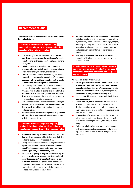### **Recommendations**

**The Global Coalition on Migration makes the following demands of states:** 

 **1. States must take measures to protect the human rights of migrants at all stages of migration regardless of their migratory status.** 

- Take meaningful steps to advance viable **rightsbased and gender-responsive pathways** for regular migration and for the regularization of undocumented migrants.
- **End all policies and practices that criminalize irregular migrants** and all punitive measures taken by countries of origin, transit, or destination.
- Address migration through a whole-of-government approach that **centers the objectives of economic, trade, migration, and foreign policy on the needs of people and protecting the environment.**
- Prioritize regularization schemes and rights-based channels in state and regional GCM implementation strategies, which **allow migrants and their families the freedom to move, settle, work, and fully participate in society**—not the expansion of temporary or circular labor migration programs.
- Shift resources from border militarization and migration enforcement to **sustainable development and decent work for all** in countries of origin, transit, and destination.
- Make available sustainable and gender-responsible **reintegration measures** to all migrants upon return to their home countries.

### **2. States must extend equal rights to migrants, including full workers' rights, social protection, and access to services, regardless of their migration status.**

- Protect the labor rights of migrants and recognize them as rights holders working to improve their lives and contributing to their host societies.
- Clearly establish the entitlement of migrants without regular status to **responsive, respectful, accessible, affordable, adapted, quality basic services, including primary and secondary care.**
- Recognize the agency of **migrant workers to represent themselves and integrate the International Labor Organization's tripartite structure of consultations** (between the government, workers', and employers' representatives) as a central governance mechanism and a necessary vehicle for economic and social integration of all workers.
- → **Address multiple and intersecting discriminations** including gender identity or expression, race, ethnicity, nationality, class, sexual orientation, age, religion, disability, and migration status. These policies must be applied to all migrants and migration contexts and proactively fight all forms of exploitation or abuse.
- Give migrants **access to the justice system** in countries of destination as well as upon return to countries of origin.

 **3. The implementation of the Global Compact must lead to a new social contract and not to "building back better" the broken and flawed circular global migration edifice.** 

**A new social contract for all will:**

- **Ensure quality basic services and universal social protection; community safety; ability to recover from climate impacts; rule of law; mechanisms to end all discrimination**, such as by race or gender; and **decent, stable, family-sustaining jobs.**
- Conduct due diligence and accountability in busi**ness operations.**
- Deliver **climate justice** and create national policies to avert, minimize, and address climate-related displacement in a way that is gender-responsive, inclusive, and contributes to building resilience among affected populations.
- Protect rights for all workers regardless of nationality, sector, or status, particularly the freedom of association, right to join unions, and bargain collectively.
- Embrace a **whole-of-society lens** in collaboration with unions, grassroots organizations and civil society, and learn from their expertise on rights-based approaches.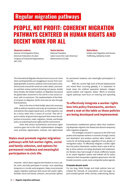# <span id="page-9-0"></span>**Regular migration pathways**

# **PEOPLE, NOT PROFIT: COHERENT MIGRATION PATHWAYS CENTERED IN HUMAN RIGHTS AND DECENT WORK FOR ALL**

### **Shannon Lederer**

Director of Immigration Policy, American Federation of Labor Congress of Industrial Organizations (AFL-CIO)

### **Yanira Merino**

National President, Labor Council for Latin American Advancement (LCLAA)

### **Neha Misra**

Global Lead, Migration and Human Trafficking, Solidarity Center

The International Migration Review Forum occurs at a time when working families are struggling to recover from overlapping health, economic, political, and racial justice crises. Democracies around the world are under attack, and workers and their unions confront shrinking civil spaces. Amidst these threats, the Global Coalition on Migration has joined the global labor movement in the call for a new social contract, with no exclusions. The implementation of the Global Compact on Migration (GCM) must also be seen through that broad lens.

Now is the time to think boldly about the necessary shifts to address injustices and scale up investment in laws and policies that support good work, so that migration can be a choice rather than a means of survival. That will require a whole-of-government approach that centers the objectives of economic, trade, migration, climate, and foreign policy on protecting human rights and the environment.

Given that serious humanitarian and human rights concerns gave rise to the GCM, implementation strategies must prioritize regularization schemes and rights-based

**States must promote regular migration pathways with full worker rights, social and family cohesion, and options for permanent residence and meaningful participation in civic life.** 

channels—which allow migrants the freedom to move, settle, work, and fully participate in society—over expanding temporary or circular work programs. States must promote regular migration pathways that ensure full worker rights, facilitate social and family cohesion, and provide options for permanent residence and meaningful participation in civic life.

With the current high level of forced displacement and mixed flows occurring globally, it is imperative to break down the artificial separation between refugee/ asylum-seekers and migrants. States' efforts to promote regular pathways must focus on restoring and expanding

## **To effectively integrate a worker rights lens into policy frameworks, workers need a seat at the table as these policies are being developed and implemented.**

humanitarian resettlement options rather than misdirecting desperate migrants into flawed and abusive temporary labor migration programs.

The strategies enacted in response to the GCM must protect and empower workers in countries of origin, transit, and destination and produce positive labor market outcomes for all working people, regardless of race, gender, or immigration status. To effectively integrate a worker rights lens into policy frameworks, workers need a seat at the table as these policies are being developed and implemented. Workers have had enough of siloed, ineffective tweaks to an unjust migration system and instead call for policy coherence that incorporates migration governance into the broader economic, social, racial, and gender justice agenda.

### **Promote decent work**

For too long, failed foreign and trade policies have prioritized the interests of corporations and low-wage, export-oriented growth while actively undermining democ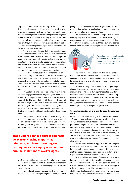racy and accountability, contributing to the push factors driving people to migrate<sup>1</sup>. A focus on decent work in origin countries is necessary to break cycles of exploitation and prevent labor migration pathways from perpetuating global power and wealth imbalances. As long as destination countries can rely on an endless 'supply' of desperate migrant workers, they have little incentive to develop fair migration schemes, nor to fund genuine, rights-based, sustainable development in origin countries.

There are many factors that force people around the world to leave their homes. They are rarely asked what would enable them to stay. Some of the most important answers include community safety, ability to recover from climate impacts, end to gender-based violence, rule of law, and decent work that provides stable, family-sustaining jobs. These vital components must be built from the bottom-up; they cannot just be imposed from the top.

Poverty and inequality in the Americas are on the rise. The majority of jobs remain in the informal economy, with no benefits or safety net. Worker rights violations have increased, especially in the expanding maquiladora sector. Many Central American governments have failed to respond to these abuses, intensifying the problems working families face.

In Guatemala and Honduras, employers routinely refuse to engage in collective bargaining and avoid paying workers due wages. Multinational corporate buyers are complicit in this wage theft. Until these realities are addressed through the creation of jobs with living wages, enforceable rights, and real social protections, migration will remain a necessity for too many families, and employers in destination countries will continue to exploit these vulnerabilities.

Development assistance and broader foreign economic interventions have done little or nothing to support the emergence of resilient domestic markets, so economies in the region have grown reliant on cheap labor at home and remittances from abroad. This model is an outgrowth

**Trade unions call for a shift of emphasis away from viewing migrants as criminals, and toward creating real consequences for employers who commit criminal violations of worker rights.** 

of US policy that has long pushed Central American countries to open themselves up to low-quality investment that has at best created insecure, low-wage jobs in export-oriented industries.

It is striking that there has been such urgency among politicians to detain and deport migrant families, but no urgency at all to protect workers in the region. Now is the time to strengthen and utilize mechanisms to protect all working people, regardless of immigration status.

Trade unions call for a shift of emphasis away from viewing migrants as criminals, and toward creating real consequences for employers who commit criminal violations of worker rights. The United States currently spends eleven times as much on immigration enforcement as it



The United States currently spends eleven times as much on immigration enforcement as it does on labor standards enforcement.

does on labor standards enforcement. The Biden-Harris administration and other States must set an example by rebalancing this investment and providing concrete protections for migrant workers who take action to promote safe and fair workplaces.

Workers throughout the Americas are organizing to dismantle structural racism<sup>2</sup> and sexism, and demand more inclusive and sustainable development strategies. Enforcement tactics incubated at borders have been used to oppress migrants, workers, and people of color for decades. Many important lessons can be learned from resistance struggles as the labor movement and civil society push for a new chapter in regional migration governance.

### **Create humanitarian and rights-based pathways for all**

All people on the move have rights and must have access to safe and regular pathways. However, the global discourse on regular pathways must not be narrowed to focus on temporary work migration. The labor movement demands an approach to migration that centers long-term regular pathways, including humanitarian and family pathways, as well as pathways out of irregularity. Such pathways afford rights and work opportunities, but are not based solely on labor contracts and do not put migrants' fate under the control of employers.

States must maximize opportunities for irregular migrants to regularize their status. We cannot advance a humane, rights-based migration strategy without addressing the pressing needs and acute exploitation of millions of migrant workers who currently lack formal status.

The appalling treatment of Haitian migrant families arriving at the US border<sup>3</sup> heightens broader concerns about the commitment of the US and other governments to meet their obligations to keep people safe. States appear to be unprepared or unwilling to respond to the current level of human displacement, let alone the levels we will face in the future. This underscores the need for a more serious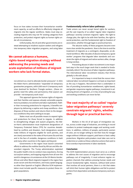focus on how states increase their humanitarian resettlement capacity, as well as efforts to effectively integrate all migrants into the regular workforce. States must stop excluding migrants who may not 'fit' existing categories from protection, and protect migrant rights as human rights under all circumstances.

Unfortunately, the US and other governments are instead attempting to misdirect asylum seekers and refugees into temporary labor migration programs, and using labor

### **We cannot advance a humane, rights-based migration strategy without addressing the pressing needs and acute exploitation of millions of migrant workers who lack formal status.**

recruitment as a tool to alleviate border pressures<sup>4</sup>. In 2021 the Biden-Harris administration "expanded US temporary guestworker programs, with 6,000 new H-2 temporary work visas destined for Northern Triangle workers…[these migrants] need the safety and permanency that asylum can provide—not temporary work visas".

This approach ignores the human rights of migrants and their families and exposes already vulnerable populations to predatory recruitment and labor exploitation. Rather than increasing protections for migrants, it benefits employers by delivering a captive and cheap workforce—then disposes of those workers and returns them to the dangerous conditions they were seeking to escape.

States must use all possible means to expand rights and protections for those forced to migrate. In addition to strengthening refugee and asylum programs, the Biden-Harris administration must implement designations of Temporary Protected Status (TPS) for countries destabilized by conflicts and disasters. Such designations would make millions of migrants eligible for work permits, and are clearly warranted in the wake of Hurricanes Eta and Iota and in the face of unstable, dangerous conditions in Haiti and many other countries in the region and beyond.

Governments in the region must launch concerted efforts to address the realities faced by African and Afro-descendant migrants. The Trump administration exploited the public health crisis to conduct mass expulsions, forcing out asylum seekers, and trapping migrants from all over the world in dangerous circumstances at the US-Mexico border. African and other Black migrants trapped in the region face acute racism and discrimination, and many speak languages other than Spanish or English. Effective GCM implementation must include specific measures to protect these migrant populations.

### **Fundamentally reform labor pathways**

Trade unions can never accept tiered rights for workers, yet the vast majority of so-called 'regular labor migration pathways' severely constrain migrants' rights—the right to change jobs, the right to be with their families, the right to social protection, and the fundamental right to freedom of association, whether through legal or practical barriers.

The abusive reality of these programs became even more clear amidst the pandemic. Now is the time to end the treatment of migrants as a contingent, disposable, on-demand workforce. After decades of abusive temporary 'guest worker' programs that degrade labor standards and constrain the rights of migrant and native workers alike, change is long overdue.

Preventing abuses in labor recruitment is one impor[tant step in the much larger work that is needed to funda](#page-32-0)mentally reform<sup>5</sup> the structure of labor migration pathways. The international labor recruitment industry that thrives globally is rife with abuse.

It is important to keep in mind that the *reason* international labor recruitment happens is at least as important as the *way* it happens. Recruitment that is undertaken in lieu of providing humanitarian resettlement, rights-based, and gender-responsive regular pathways, investment in addressing drivers of migration, or in lieu of providing fair pay and working conditions can never be fair.

### **The vast majority of so-called 'regular labor migration pathways' severely constrain migrants' rights, whether through legal or practical barriers.**

Workers in the US of all types of immigration status, across a wide range of industries, are striking in record numbers to protest inadequate wages and working conditions. In addition, millions of people, particularly women of color, are no longer willing to risk their lives for meager wages without childcare support, paid leave or basic safety protections. Migration policymakers must take care not to undermine or undercut these collective actions that seek to force overdue improvements in labor standards.

### **Conclusion**

The GCM implementation process must serve as a vehicle to address the root causes of migration and to encourage pathways out of irregularity. It must enhance regular migration channels that address pressing human needs and ensure fundamental rights. However, without bold action that involves all social partners, there is a risk that states will shirk their human rights obligations and fail to protect workers from deportation and abusive temporary work programs.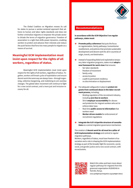

The Global Coalition on Migration renews its call for states to pursue a worker-centered approach that adheres to human and labor rights standards and does not further criminalize migrants or empower the private sector to dictate the terms of migration governance. Freedom of association is a right that shifts power dynamics, enabling workers to protect and advance their interests and reduce the push factors that force too many people to migrate as a means of survival.

### **Meaningful GCM implementation must insist upon respect for the rights of all workers, regardless of status.**

Meaningful GCM implementation must insist upon respect for the rights of all workers, regardless of status. Together, workers will break cycles of exploitation and ensure decent work the same way we always have—through organizing, collective bargaining, and mobilizing to win overdue changes. The global labor movement will continue to fight for a new social contract, and a more just and inclusive recovery for all.

### **Recommendations**

**In accordance with the GCM Objective 5 on regular pathways, states must:** 

- Promote policy coherence that puts the focus on regularization, family pathways, humanitarian resettlement, and policies that promote sustainable development and decent work for all in countries of origin, transit, and destination.
- Instead of expanding failed and exploitative temporary labor migration programs, states must **adopt a new framework for work visas** that ensures:
	- ∙ fair labor standards
	- ∙ freedom of movement
	- ∙ family unity
	- ∙ access to justice
	- ∙ a path to permanent residency
	- ∙ no discrimination or displacement
- Put adequate safeguards in place to **protect migrants from continued abuse in the labor recruitment process,** including:
	- ∙ Binding regulation of the recruitment industry, including **zero fees to workers**
	- ∙ Strict **employer accountability** for abuses and protection for migrant workers who act to enforce labor laws
	- ∙ Real-time **public access to information** that workers need
	- ∙ **Worker-driven models** for enforcement of recruitment regulations
- Integrate the ILO's tripartite structure of consulta**tions** as a central migration governance mechanism.

The creation of **decent work for all must be a pillar of GCM implementation strategy** and central to regular migration pathways.

Workers, regardless of status, must have freedom of association and a role in shaping the GCM implementation strategy as part of the broader fight for economic, social, racial, and gender justice and a new social contract, with no exclusions.



Watch this video and learn more about regular pathways for migrants from the grassroot organization KUDHEIHA in Nairobi, Kenya.

**www.spotlightreportmigration.org/spotlight-videos/**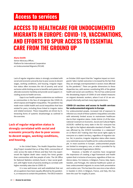# <span id="page-13-0"></span>**Access to services**

# **ACCESS TO HEALTHCARE FOR UNDOCUMENTED MIGRANTS IN EUROPE: COVID-19, VACCINATIONS, AND EFFORTS TO SPUR ACCESS TO ESSENTIAL CARE FROM THE GROUND UP**

### **Alyna Smith**

Senior Advocacy Officer, Platform for International Cooperation on Undocumented Migrants (PICUM)

Lack of regular migration status is strongly correlated with social and economic precarity due to poor access to decent wages, working conditions, and housing. Irregular migration status often increases the risk of poverty and social exclusion while limiting access to benefits and systems that alleviate economic hardship and provide social support, including access to health services.

Gaps in our health systems undermine our resilience as communities in the face of emergencies like COVID-19, which expose and heighten inequalities. The pandemic has made more visible health and social inequalities that have existed for years, including those linked to irregular status and related exclusion. These inequalities are driven by intersecting forms of systemic disadvantage as outlined in the overview.

# **Lack of regular migration status is strongly correlated with social and economic precarity due to poor access to decent wages, working conditions, and housing.**

In the United States, The Health Disparities Geocoding Project revealed that as of May 2020, communities of color across the state of Illinois and New York City experienced the highest death rates—nearly five times greater than communities with few people of color. The UK Office for National Statistics similarly found a 'clear social gradient', with higher levels of poverty tending to correlate with higher mortality rates due to COVID-19.

It is now well-known and well-established that not all occupations have been equally affected by the pandemic, or measures to contain the pandemic. The OECD noted in

an October 2020 report that the "negative impact on immigrants' labor market outcomes is increased by the fact that they are strongly overrepresented in sectors most affected by the pandemic". There are gender dimensions to these disparities too, with women constituting 90% of the global health and social care workforce. The ILO has underscored the devastating impact of COVID-19 and related measures on migrant domestic workers, where 8 out of 10 are employed informally and lack many legal protections.

### **COVID-19 vaccines and access to health services for undocumented migrants in Europe**

For undocumented people, increased risk of exposure to infection as a result of these systemic inequalities coincides with extremely limited access to mainstream healthcare due to their migration status. Under Article 12 of the International Covenant on Economic, Social and Cultural Rights (ICESCR)—ratified by every state in the EU—everyone has the right to the highest attainable standard of health. This was affirmed by the ICESCR Committee in a statement<sup>1</sup> on 13 March 2017 making clear that social rights apply to everyone on a state's territory, regardless of migration status. Yet, in practice, irregular migration status often means very restricted access to healthcare for undocumented people. In most countries in Europe<sup>2</sup>, undocumented people are limited to emergency care, or what is provided for by Non-Governmental Organizations (NGOs).

However, a handful of countries have recognized the importance of creating a legal framework and health system that is inclusive of everyone, regardless of their residence status. For instance, in Belgium, France, Italy, Spain, Sweden, and Portugal, the national healthcare system allows undocumented migrants to access both preventative and curative care. This has been the case since a law reform in Sweden in 2013; in Belgium, France, and Italy, this has been the case<sup>3</sup> for roughly 25 years.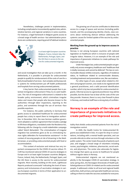Nonetheless, challenges persist in implementation, including complicated or inconsistently applied rules; administrative barriers; and regional variations in some countries. For instance, a legal framework in Belgium grants access to a broad range of health services—but administrative procedures are cumbersome, requiring proof of habitual residence



In at least eight European countries (Belgium, France, Ireland, Italy, the Netherlands, Portugal, Spain, and the UK) there is access to the vaccine for undocumented migrants.

and social investigation that can take up to a month. In the Netherlands, it is possible in principle for undocumented people to qualify for reimbursement of the costs of care for a fairly broad basket of services—but complex and bureaucratic systems for reimbursement put off health professionals and hospitals from serving undocumented patients.

A key barrier that undocumented people face is potential immigration enforcement if they try to seek healthcare. The risk of immigration enforcement is related to the broader policy environment, which criminalizes irregular status and means that people who become known to the authorities—through labor inspections, reporting to the police, and sometimes through the use of services—face possible expulsion.

For instance, the public authority in Germany that grants access to subsidized healthcare for undocumented people has a duty to report them to immigration authorities. In December 2021, the new German coalition government adopted a coalition agreement that includes a pledge to lift these obligations, mandated under the Residence Act, following calls for change by a multi-stakeholder campaign called 'Gleich Behandeln'. The criminalization of irregular migration has sometimes gone as far as criminalizing human rights defenders for humanitarian assistance<sup>4</sup>-in the context of rescuing people at risk of drowning in the Mediterranean, or providing undocumented people with food or accommodation.

This context of exclusion and mistrust has very important consequences for the COVID-19 vaccine rollout. PI-CUM has monitored national COVID-19 vaccine strategies in Europe and in at least eight European countries (Belgium, France, Ireland, Italy, the Netherlands, Portugal, Spain, and the UK) there is access to the vaccine for undocumented migrants. More recently, building on this work, Lighthouse Reports produced scorecards<sup>5</sup> indicating the level of transparency and inclusiveness of vaccination strategies in various European countries in terms of their application to undocumented migrants.

The growing use of vaccine certificates to determine access to a range of spaces and services (including public transit), and the accompanying identity checks, raise concerns about reinforcing distrust without addressing the systemic causes for limited uptake of the vaccine by undocumented people.

### **Working from the ground up to improve access in practice**

Norway is not among European countries with national legislation on healthcare which is inclusive of people with irregular status. However, it is an example of the role and importance of grassroots initiatives to create pathways for improved access.

Under Norwegian law, undocumented people can generally only access emergency healthcare and 'healthcare that is totally necessary and cannot be deferred'. The law on communicable disease entitles everyone, regardless of residence status, to healthcare related to communicable diseases, including treatment and preventative care, like vaccinations.

For other types of care, except when related to children and pregnant women, one needs to be registered with a general practitioner, and a valid personal identification number, which is by law not possible for undocumented migrants. Informal access to a general practitioner may still be possible, but the doctor has to bear all the costs of the care they provide. However, there is a very clear firewall in place in Norway, and medical staff have a strong duty of confiden-

### **Norway is an example of the role and importance of grassroots initiatives to create pathways for improved access.**

tiality that shields undocumented patients from the risk of immigration control.

In 2009, the Health Centre for Undocumented Migrants was established in Oslo. It is open for drop-in consultations, including with a mental health specialist, and can provide referrals to other services through volunteers or the public system. The center treats thousands of patients each year, and engages a broad range of volunteers including nurses, psychologists, midwives, pharmacists, social workers, and physicians. The center also advocates for legislative change that opens up access to healthcare for people without regular status in Norway.

Undocumented migrants are not mentioned explicitly in the Norwegian COVID-19 vaccination strategy. In early spring 2021, the Norwegian Directorate of Health published guidance on COVID-19-related care for undocumented people. It addressed a letter to all local and regional health authorities, both primary and specialist healthcare services, calling on them to make the vaccines available for everyone.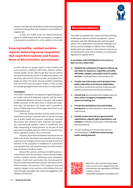

However, the letter did not detail how undocumented people could practically get their shot, leaving it to municipalities to organize this.

In Oslo, the Health Centre for Undocumented Migrants, in collaboration with the municipality, arranged for a local general practitioner to come weekly to the center

## **Ensuring healthy, resilient societies requires addressing social inequalities that result from systemic and historic forms of discrimination and exclusion.**

to write referrals for people based on their medical and socio-economic conditions. With these referrals, undocumented people can be called to get their vaccine without the need of a personal number or a valid ID document: only the name, date of birth, phone number, and preferred language are noted. The center also has excellent cooperation with one of the local vaccination centers in Oslo to make sure people get appointments and access to interpretation.

### **Conclusion**

The COVID-19 pandemic has exposed longstanding gaps in our health and social protection systems, and the broader relationship between exclusion and poor and unequal health outcomes. At the same time, in modest but important ways, the pandemic has shown what is possible in terms of addressing some of these gaps where there is sufficient political will.

Given the strong motivation of some states and local authorities to achieve universal COVID-19 vaccine coverage due to public health and economic imperatives, countries like Norway with otherwise fairly restrictive laws governing undocumented people's access to healthcare, took steps (responding to strong pressure on the part of local advocates) to facilitate access to COVID-19 vaccines for residents, regardless of status. This is promising.

However, these kinds of initiatives should be seen as pilots to be further developed and expanded, not only as a response to an emergency but to ensure broad access for all members of the population to healthcare in a permanent and equitable way, with proactive steps to remove barriers that are based on residence status.

Beyond the vaccines, and beyond health systems, a critical lesson from the pandemic is that ensuring healthy, resilient societies requires addressing social inequalities through a health and social justice lens that accounts for harms to health that result from systemic and historic forms of discrimination and exclusion. This is long-term work that requires changes to law, practices, and mindsets that must come through meaningful and sustained engagement with affected communities.

### **Recommendations**

The COVID-19 pandemic has underscored that achieving health equity requires a bottom-up approach, and collaboration with both affected groups and local organizations. This collaboration must identify challenges and devise practical strategies to address them. Achieving health equity also requires a clear and well-communicated national policy and, where necessary, accompanying legislation to regulate access.

**In accordance with GCM Objective 15 on access to basic services, states must:**

- **Establish the entitlement of migrants without regular status to responsive, respectful, accessible, affordable, adapted, and quality social (or public) services,** including primary and secondary care.
- **Provide clear information and instructions from public authorities to all relevant stakeholders**  about these entitlements and how undocumented people can access the care they are entitled to.
- **Commit that** personal data will be safeguarded and **there will be no negative immigration consequences of seeking care.**
- **Provide low-threshold services with limited bureaucracy** and administrative or documentation requirements.
- Actively involve local and non-governmental **organizations, migrant rights organizations, and members** of affected communities in defining strategies and protocols.
- → Provide multilingual communication and outreach campaigns to **build trust and encourage health-seeking behavior.**



Watch this video and learn more about access to services for migrants from the humanitarian aid organization INTERSOS in Athens, Greece.

**www.spotlightreportmigration.org/spotlight-videos/**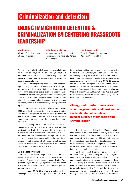# <span id="page-16-0"></span>**Criminalization and detention**

# **ENDING IMMIGRATION DETENTION & CRIMINALIZATION BY CENTERING GRASSROOTS LEADERSHIP**

### **Mishka Pillay**

Migration & lived experience advocate & campaigner

### **Mia-lia Boua Kiernan**

Communications & engagement coordinator, International Detention Coalition (IDC)

### **Carolina Gottardo**

Executive Director, International Detention Coalition (IDC)

There is a rising global trend of migration laws, policies, and practices driven by systemic racism, sexism, homophobia, and other structural issues. This impacts migrant and refugee communities, and those seeking asylum, in complex and intersectional ways.

Instead of safeguarding peoples' human rights and dignity, many governments around the world are adopting approaches that inherently criminalize migration and invest in harsh deterrence tactics, such as incarceration and surveillance, forced returns, externalization of borders, and pushbacks. In addition, the penalizing of migrant community activists, human rights defenders, NGO workers, and emergency crews such as sea rescuers, is a deeply concerning trend.

Throughout 2021, International Detention Coalition (IDC) worked with leaders with lived experience of detention and asylum systems, as well as other grassroots organizers from different countries, to co-create a space to connect and strategize about efforts to end immigration detention.

The learnings from this space are crucial for all of us: change and solutions must start from the grassroots, and must center the leadership of people with lived experience of detention and criminalization. Furthermore, in order to end detention and criminalization, change must address the root causes of these issues, and must be co-designed, co-created, and co-delivered with people with lived experience. We will explore the pressing facets of detention and criminalization of migrants in this article.

### **Criminalization trends**

"From our perspective on the ground, it seems that some governments have become very imaginative about how to be cruel," observed a grassroots migrant leader. These grassroots organizers brought together insights about criminalization trends they and their communities experience and witness every day.

For many, COVID-19 created and enhanced huge challenges. In March 2020, in response to COVID-19, IDC initiated regional webinars for our members across Africa, the Gulf and the Levant, Europe, Asia Pacific, and the Americas. Attended by participants from more than 40 countries, IDC heard about the impacts and needs on the ground from organizations working at the forefront of COVID-19 response around the globe. Through this listening and learning, IDC developed a Global Position on COVID-19, and documented some Key Developments shared by IDC members in countries such as South Africa, Malawi, Mexico, Australia, South Korea, Malaysia, Greece, the United States, Egypt, Libya, Tunisia, Qatar, and many more.

## **Change and solutions must start from the grassroots, and must center the leadership of people with lived experience of detention and criminalization.**

These impacts include lengthened (and often indefinite) periods of detention, health and safety issues, border closures, increased and often violent pushbacks at borders, and deportations. There are also difficulties with registration, access to services, discontinuation of migratory procedures, as well as an erosion of the right to seek asylum. All of this has created environments of chaos for people and families seeking stability and safety.

On the other hand, there were instances of some governments reducing or suspending the use of immigration detention during this time, which opened up opportunities and momentum to rehearse the end of immigration detention. For example, a 2020 IDC document<sup>1</sup> states that there were detention releases and decreased arrests in Belgium, Egypt, Italy, Japan, Mexico, Spain, and the UK, as well as instances of increased registration and support in the community in Spain, Portugal, Zambia, Guatemala, and Mexico.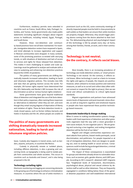Furthermore, residency permits were extended in countries such as France, South Africa, Italy, Portugal, Colombia, and Tunisia. Some governments also made public statements (including significant changes) about migrant access to healthcare, including Ireland, Egypt, Portugal, and South Korea.

However, these non-detention and community-based practices have not all been maintained. For example, immigration detention centers have reopened in Spain, and timid attempts to increase registration and support in Mexican communities were dropped. In many contexts, some of the promising practices co-existed with worrying trends, or with situations of destitution and lack of access to services and rights for those released from detention. This makes it more challenging to sustain and scale up. Learnings must be gathered to analyze and evaluate with a view to sustaining and enhancing non-detention practices beyond the COVID-19 pandemic.

The politics of many governments are shifting dramatically towards increased nationalism, leading to harsh and inhumane migration policies. This includes new bills and laws that are gaining traction across the world. For example, UN human rights experts<sup>2</sup> have determined that the UK's Nationality and Border's Bill increases the risk of discrimination as well as 'serious human rights violations'.

Some governments have gone beyond traditional ideas of detention and integrated the use of de facto detention in their policy responses, often naming these responses as 'alternatives to detention' when they are not<sup>3</sup>, and even though they entail varying degrees of deprivation of liberty and violation of rights. These de facto detention trends include closed spaces, such as former military barracks and hotels in Australia and the UK, where people are unable to

### **The politics of many governments are shifting dramatically towards increased nationalism, leading to harsh and inhumane migration policies.**

leave. Custody also happens in transit zones, such as borders, airports, and ports, in countries like Mexico.

Custody in physically remote or isolated places, including offshore detention, is also a growing and concerning trend, as topography is being used to isolate people from communities and whole societies. This occurs in countries such as Australia and Greece<sup>4</sup>, and is also being proposed in the UK.

#### **Technology curtailing rights**

Electronic monitoring and tagging are concerning elements in the growing use of technology to enhance criminalization measures. In countries where the use of ankle monitors is

prominent (such as the US), some community meetings of directly impacted people must be held in close proximity to wall outlets so that leaders can ensure their ankle monitors are properly charged. Otherwise, they would trigger piercing alarms coming from the device attached to their bodies. The dehumanizing physical and psychological impact of this technology is felt by people every day—at home, among their families, friends, at work, and in their communities.

### **Technology is not neutral. On the contrary, it reflects social biases.**

More broadly, there is an increasing prevalence of technology use inside detention centers, or 'smart prisons'. Technology is not neutral. On the contrary, it reflects social biases. When technology is used as a basis to increase the rights and agency of people, the impacts are positive. However, when utilized to increase punitive and restrictive measures, as well as to surveil and collect data (often without consent or respect for the right to privacy), then we see moral and ethical contradictions to critical rights-based standards.

Migrant organizations and partners have witnessed severe levels of depression and post-traumatic stress disorder, as well as long-term cognitive and emotional impacts in people who have experienced these punitive technology-based measures.

### **Grassroots leadership & change-making**

When it comes to making transformative systems change, leaders with lived experience of detention and other grassroots organizers lead the way with a vision grounded in root-cause analysis. As one organizer puts it, "We are growing and nurturing a tree together, and ending immigration detention will be the fruit of our labor."

Migrant and refugee communities experience constant attacks from policies, biased media portrayals, social discrimination, and politicians. For people impacted or at risk of immigration detention, there are dangers to speaking out, even to seeking health or social services. Consequences could include facing prolonged detention, criminal imprisonment, or deportation.

The impact of these consequences is exacerbated for groups and identities already driven to vulnerable situations, such as women, girls, gender-diverse, and LGBTI people. According to IDC's research<sup>5</sup>, detained LGBTI migrants face "heightened levels of harassment, discrimination, psychological abuse, physical and sexual violence by detention staff as well as other detainees. They are frequently segregated in conditions falling below those of the general detainee population and well-established international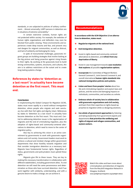

standards, or are subjected to policies of solitary confinement… Almost universally, LGBTI persons in detention are in situations of extreme vulnerability."

In certain restrictive contexts, human rights are not protected within society. For example, the websites of human rights organizations and defenders may even be blocked from public viewing. These environments and experiences create deep trauma and fear, and present very real dangers for migrant communities, as well as distrust, and lack of solidarity and belonging for many.

In spite of monumental challenges, grassroots migrant groups are building strategies that involve looking at the big picture and being proactive against rising threats to their rights. By working at the grassroots level to build strong communities, systems, structures, and cultures, the aim is to address restrictions at the outset and to create long-lasting systems-change.

## **References by states to 'detention as a last resort' in actuality have become detention as the first resort. This must end.**

### **Conclusion**

In implementing the Global Compact for Migration (GCM), states must move rapidly to a world without immigration detention, where people who migrate and seek sanctuary live with their full rights and dignity intact. References by states to 'detention as a last resort' in actuality have become detention as the first resort. This must end. Central to addressing detention issues is the regularization of migrants and the end of criminalizing migration, plus the adoption of rights-based and community-centered alternatives to detention, which need to move to the center of migration policy.

Also key to achieving this vision is an active commitment by governments to work with grassroots organizations and civil society. Government leaders must work to achieve a cultural and mindset change within government departments that show hostility towards migration and that consider immigration detention as a necessary tool. Migrants have fundamental human rights. Regardless of status, governments and policymakers must uphold these rights.

Migrants give life to these issues. They are key to making this necessary transformation in collaboration with different stakeholders, including government allies. To end detention we will need the same perseverance and determination as those who have survived detention. And if we work together with solidarity, understanding, and with a genuine desire to make a change, we can achieve it.

### **Recommendations**

**In accordance with the GCM Objective 13 on alternatives to detention, states must:** 

- Regularize migrants at the national level.
- **End immigration detention.**
- Invest in rights-based and community-centered alternatives to detention, and **refrain from any deprivation of liberty.**
- Invest in case management towards **case resolution that explores** all possible **regularization options.**
- **Incorporate** the Committee of Migrant Workers General Comment 5, Joint General Comment 4, and overall international **human rights standards into national immigration policies and systems.**
- Listen and learn from peoples' stories about hostile and criminalizing migration and asylum laws and policies, and the severe and damaging impacts on individuals, communities, and societies as a whole.
- **Embrace whole-of-society lens in collaboration with grassroots organizations and civil society,**  and learn from their expertise on rights-based approaches to migration while co-designing solutions.
- **Use whole-of-government approaches** by listening and taking leadership from government experts and departments **that prioritize the wellbeing and rights of migrant and refugee communities, and asylum seekers.**



Watch this video and learn more about criminalization and detention of migrants from the Maryhill Integration Network in Glasgow, Scotland.

**www.spotlightreportmigration.org/spotlight-videos/**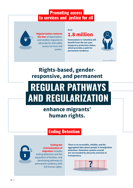# **Promoting access to services and justice for all**

<span id="page-19-0"></span>

**Regularization removes the fear** of deportation, and enables migrants to advocate for and safely access services and justice.

**Over** 

# **1.8 million**

**Venezuelans in Colombia will benefit from the ten-year temporary protection status, which provides a path for permanent residency.**



Data source: UNHCR (2021)

# **Rights-based, genderresponsive, and permanent**

# **REGULAR PATHWAYS AND REGULARIZATION**

# **enhance migrants' human rights.**

# **Ending Detention**



**Ending the criminalization of migration** includes ending detention and the separation of families, and developing pathways to permanent residency with full human rights. **There is no accessible, reliable, and disaggregated data about people in immigration detention. Detention systems overall are surrounded by obscurity and lack of transparency.**

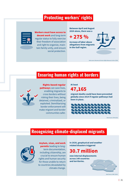# **Protecting workers' rights**



### **Workers must have access to**

**decent work** and long-term regular status to fully exercise their freedom of association and right to organize, maintain family unity, and ensure social protection. **Between April and August 2020 alone, there was a** 

**+ 275 %** 

**increase of labor abuse allegations from migrants in the Gulf region.** 



Data source: Business & Human Rights Resource Centre (2020)

# **Ensuring human rights at borders**



**Rights-based regular pathways** can save lives, enabling migrants to cross borders without risking their lives, being detained, criminalized, or exploited. Demilitarizing border enforcement will make migrant and border communities safer.

**At least** 

**47,165** 

**migrant deaths could have been prevented globally since 2014 if regular pathways had been in place.**



Data Source: IOM (2022)

# **Recognizing climate-displaced migrants**



**Asylum, visas, and work permits** leading to longterm documentation, including citizenship, are crucial to ensure human rights and human security for those unable to return to countries devastated by climate change.

**In 2020, geophysical and weather related disasters triggered** 

# **30.7 million**

**new internal displacements across 149 countries and territories.** 

Data Source: iDMC (2021)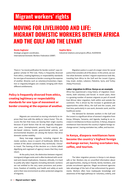# <span id="page-21-0"></span>**Migrant workers' rights**

# **MOVING FOR LIVELIHOOD AND LIFE: MIGRANT DOMESTIC WORKERS BETWEEN AFRICA AND THE GULF AND THE LEVANT**

### **Roula Seghaier**

### **Sophia Njiru**

Industrial relations and projects officer, KUDHEIHA

Strategic program coordinator, International Domestic Workers Federation (IDWF)

There is "no moral justification for border control", says migration scholar Dr Phil Cole. Policy is frequently divorced from ethics, creating legitimacy or respectability standards for one type of movement or border crossing at the expense of another. Binaries such as voluntary/involuntary migration or migrants/refugees are created, bringing with them different entitlements.

# **Policy is frequently divorced from ethics, creating legitimacy or respectability standards for one type of movement or border crossing at the expense of another.**

Migrants are conceived as moving voluntarily to improve their lives with the ability to 'return home'. This obscures the fact that many are leaving their origin country because of push factors that do not magically disappear over years. Unemployment, poverty, food scarcity, gender-based violence, hostile governmental policies, and environmental disasters are among the factors that drive domestic worker mobility.

Many low-wage migrants, including migrant domestic workers, move in search of livelihoods. Within the context of the above constraints they technically '*choose'* to travel. The framing of this decision as a choice (albeit dignifying and cognizant of agency) means that they must return.

At the policy level, the distinction between migrant/ immigrant/refugee exists and is often burdened with racialized and classist implications. However, ethically, it is hard to justify why labor migrants (including domestic workers) are not entitled to the very same provisions and protections, freedom of mobility, and health and safety at work and in their new environment as other protected categories of migrants.

Migration justice is a part of a larger vision for social justice that considers all of the above. In this article, we outline what domestic workers' migrant experiences look like, traveling from Africa to the Gulf and the Levant (Cyprus, Iraq, Israel, Jordan, Lebanon, Palestine, Syria, and Turkey (Hatay Province)).

### **Labor migration in Africa: Kenya as an example**

Africa has experienced a long history of migration movements, both voluntary and forced. In recent years, there is a growing number of women migrants as part of overall East African labor migration, both within and outside the continent. This is driven by the increase in gendered job opportunities within Africa, the Gulf and the Levant, and East Asia, particularly in care work, domestic work, and the healthcare sector.

The demand for domestic workers in the Gulf and the Levant is a significant driver of women's migration from Kenya, Ethiopia, Tanzania, and Uganda, leading to an increase in remittances to those countries. In Kenya, diaspora [remittances have become the country's highest foreign ex](#page-33-0)change earner<sup>1</sup>, having overtaken tea, coffee, and tourism.

# **In Kenya, diaspora remittances have become the country's highest foreign exchange earner, having overtaken tea, coffee, and tourism.**

The labor migration process in Kenya is not always safe or fair. Workers rely on unverified information about job opportunities, relying on friends, family members, and private recruitment agencies. Illegal recruitment agencies take advantage of the lack of law enforcement by governments. Workers often have inadequate knowledge and awareness of the legal pathways to 'voluntary, orderly, and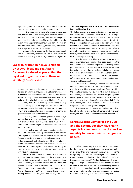regular migration'. This increases the vulnerability of migrant workers to unethical recruitment practices.

Furthermore, they are prone to excessive placement fees, falsification of documents, false promises about the nature and conditions of work, and debt bondage from money lenders and recruiters. The profile and level of education of the majority of migrant women domestic workers also limit them from accessing (on their own) information on the legal and institutional landscape.

According to a report<sup>2</sup> by the Kenyan government, about 93 Kenyan migrant workers died in Saudi Arabia between 2019 and July 2021. A large number of migrant re-

# **Labor migration in Kenya is guided by several legal and regulatory frameworks aimed at protecting the rights of migrant workers. However, visible gaps still exist.**

turnees have complained about the challenges faced in the destination countries. They cite abusive labor practices such as violence and harassment; verbal, sexual, and physical abuse; handling of hazardous chemicals with bare hands; racial or ethnic discrimination; and withholding of pay.

Many domestic workers experience cases of wage theft. Following up with the employers is next to impossible because ties to the destination country are cut once they return, and local agents distance themselves once the migrants reach the destination country.

Labor migration in Kenya is guided by several legal and regulatory frameworks aimed at protecting the rights of migrant workers. However, visible gaps still exist in the coordination of labor migration between Kenya and destination countries.

Kenya lacks a monitoring and evaluation mechanism for the implementation and performance of the bilateral labor agreements entered into with destination countries. The contents of the agreements are also not made public, so key actors such as trade unions and the general public cannot know of their existence and provisions. Kenya also lacks return and reintegration programs for returning migrant workers, so many workers return without protections or reintegration support.

Outside of some active but minoritarian attempts to organize domestic workers in Kenya, those attempting to migrate find themselves at higher risk of human and labor rights violations, as they are isolated and lack union representation. Efforts by local trade unions such as KUDHEIHA Workers through the support of the International Domestic Workers Federation (IDWF) aim to mend this situation by forming networks that bring these workers together.

### **The Kafala system in the Gulf and the Levant: history and implications**

The Kafala system is a loose collection of laws, decrees, regulations, and customary practices tied to immigration in countries of the Gulf and the Levant. Kafala means 'sponsorship', and is usually utilized in Arabic to refer to the sponsoring of an orphan, a minor, a person with severe disabilities that requires support in daily life decisions, and migrants' residence in a destination country. The Kafala is not a labor law, it is an immigration system governed by the Ministry of Interior, the branch of the government responsible for policing and security.

The decisions on residency, housing arrangements, social life, mobility, and many other facets then lie in the hands of one individual: the employer. The overlap of the private household as a place for both work and life becomes increasingly unsafe, due to the huge imbalance of power between the employers and the workers. All of this is in ad[dition to the fact that domestic workers are mostly wom](#page-33-0)en<sup>3</sup>, who face disproportionate amounts of gender-based violence and harassment.

Under any other system, if one has a problem with an employer, then their job is at risk, but the other aspects of their life (e.g. residency, health, legal status) are not within their employer's purview. However, when a worker is under the Kafala system, the employer decides everything about every aspect of their life. Can they open a bank account? Can they have a driver's license? Can they have their family visit? Can they reside in the country? All of these aspects are single-handedly decided by one employer.

A problem with the employer can lead not only to loss of the job, but also to loss of work permit, migration status, and home, even to imprisonment and deportation.

### **Kafala systems vary across the Gulf and the Levant, but they have many aspects in common such as the workers' inability to renew their own migration papers.**

Kafala systems vary across the Gulf and the Levant, but they have many aspects in common: a workers' inability to renew their own migration papers, their inability to change employers without the employers' permission, and the requirement that they live in the employer's home (when it comes to domestic work). The fact that paperwork renewal happens through the sponsor means that workers are often unaware of their own fate. Is their paperwork being renewed? Has their residency expired? A worker may not know the answers, as employers often hold their passports—a practice that the kafeel (employer) considers their prerogative.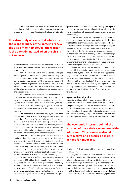The worker does not have control over what has been done to their papers and might not even have access to them in the first place. It is absolutely obscene that while

### **It is absolutely obscene that while it is the responsibility of the kafeel to renew the visa of their employee, the worker is the one criminalized when the visa is not renewed.**

it is the responsibility of the kafeel to renew the visa of their employee, the worker is the one criminalized when the visa is not renewed.

Domestic workers endure the worst fate amongst workers governed by the Kafala system because they are not included in national labor law. Their work is seen as part of the informal economy. Other workers are governed by the Kafala as migrants and also by various labor laws as workers within their sectors. The internal affairs ministries still largely govern domestic workers and are meant to guarantee their rights.

If a domestic worker wants to leave an abusive situation, they must leave the household they are working in and leave their employer, who is the person that oversees their legal status. A domestic worker then is immediately in irregular status and can face absconding charges. If a worker has an absconding charge against them, they cannot leave the country.

This mechanism is abused by employers, who have complete impunity, as they are acting within the boundaries of the Kafala system. Workers who are included under the labor law, even when the law is lacking, have some form of access to redress for labor violations. However, when it is the policing branch of the government that oversees the working conditions of migrant domestic workers, the workers become suspect: they have no access to justice.

The Kafala system is often portrayed as a fruit of cultural prejudice, obscuring the economic factors that create and sustain it. Instead, it is racial capitalism that must be addressed. The Kafala system is lucrative both because the cheap labor migration allows these states to save money on care institutions, and because the fees generated by the process of recruitment, residency applications, and renewals offer a steady stream of revenue for the economy.

For example, the Kafala system in Lebanon generates around 100 million USD annually<sup>4</sup> from recruitment fees, taxes, and dues to various governmental agencies, amongst other expenditures. This number is the smallest in the estimates of profits collected in the region. The Kafala system model of recruitment is also lucrative for origin countries: an 'agent' serves as the go-between for a prospective worker and their destination country. The agent is paid per person recruited, thus benefits from false advertising, creating false job opportunities, and cheating workers into traveling.

The system creates employment opportunities for agents, recruitment agencies, and unknown third parties that facilitate such transactions. The workers bear the cost of this recruitment. Many go into debt bondage to pay the fees demanded of them. Yet the economic interests behind the survival of the Kafala system are seldom addressed, focusing instead on cultural aspects, which deem that change is hard to achieve. Not only is this an essentialist perspective that portrays countries in the Gulf and the Levant as fundamentally prone to archaic domination systems, but it also obscures possible venues for advocacy.

While the region has encountered numerous challenges with the ongoing pandemic, including economic inflation and layoffs of domestic workers, the biggest challenge remains the Kafala system. As a domestic worker leader in Lebanon explained: "In the Gulf and the Levant, COVID is not the virus, [Kafala is."5](#page-33-0) The key to any potential reform is to provide more visibility to employment and working conditions, and to break down the cycles of unfair recruitment that is akin to the trafficking of workers into forced labor.

#### **Agency and social justice**

Domestic workers inhabit many complex identities: migrant women from the Global South, multiracial and multireligious backgrounds, sole breadwinners of families. Justice for migrant domestic workers does not end nor begin at the sector alone: it transcends it into social justice at large, for women, migrants, and people of color. The Domestic Workers Rights movement, led by the International Domes-

### **The economic interests behind the survival of the Kafala system are seldom addressed. This is an essentialist perspective and obscures possible venues for advocacy.**

tic Workers Federation and allies, is one of human rights and freedom.

Migration for domestic work must be facilitated, protected, and regularized. The workers themselves must be valued and respected, for they provide immense contributions to their origin countries through remittances and destination countries through their labor. They must be able to exercise their agency as workers and as humans who have a right to decent work and a life outside of the workplace. They have the right to call the place where they spend years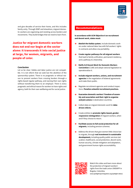

and give decades of service their home, and this includes family unity. Through IDWF and elsewhere, migrant domestic workers are organizing and resisting across borders and movements. They build bridges that we need to learn from.

**Justice for migrant domestic workers does not end nor begin at the sector alone: it transcends it into social justice at large, for women, migrants, and people of color.** 

### **Conclusion**

Let us be clear: Kafala and labor justice are not compatible. It is not reform that we seek but the abolition of the sponsorship system. There is no pragmatic or ethical reason to prevent workers from crossing borders through a rights-based regular pathway, and owning their own rights without transferring them to an employer. There is every pragmatic and ethical reason for workers to have rights and agency, both for their own wellbeing and for social justice.

### **Recommendations**

**In accordance with GCM Objective 6 on recruitment and decent work, states must:**

- Abolish the Kafala system. Include domestic workers under national labor law with full workers' rights in contracts and allow visa portability.
- **Create regular pathways for all migrant workers** that lead to family unification, permanent residency, and a pathway to citizenship.
- **Ratify ILO Decent Work for Domestic Workers Convention** (C189) and adopt national legislation to operationalize it.
- Include migrant workers, unions, and recruitment **agencies** in the negotiation of bilateral agreements and make them public.
- Regulate recruitment agencies and conduct inspections. **Penalize unlawful recruitment practices.**
- Guarantee domestic workers' freedom of assem**bly and association and their right to organize and join unions** in destination countries.
- Collect data on migrant domestic work for **datadriven reform.**
- Create entities to **promote rights-based, genderresponsive reintegration** of migrant workers, when and if they choose to return.
- **Facilitate access to full social protection for all migrants**, including pension schemes.
- Address the drivers that give women little choice but to migrate, through **real investment in sustainable development,** including quality public services (education, healthcare), social protection, decent work, human security, climate mitigation and adaptation, and government human rights accountability.



Watch this video and learn more about the protection of migrant workers' rights from the trade union UNIDAPP in Bogota, Colombia.

**www.spotlightreportmigration.org/spotlight-videos/**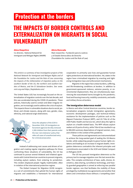# <span id="page-25-0"></span>**Protection at the borders**

# **THE IMPACTS OF BORDER CONTROLS AND EXTERNALIZATION ON MIGRANTS IN SOCIAL VULNERABILITY**

### **Alma Maquitico**

Co-director, National Network for Immigrant and Refugee Rights (NNIRR)

### **Alicia Moncada**

Main researcher, Fundación para la Justicia y el Estado Democrático de Derecho (Foundation for Justice and the Rule of Law)

*This article is a summary of two investigative projects of the National Network for Immigrant and Refugee Rights and of the Foundation for Justice and the Rule of Law concerning the impacts of the militarization of migration policy on the southern border of the US, the northern and southern borders of Mexico, and the El Salvadoran borders. See: www. nnirr.org and https://bajolabota.com/*

The United States (US) has increasingly focused on the externalization of migration controls over the last decade, and this was accelerated during the COVID-19 pandemic. These policies, historically used to contain and deter irregular migration, are increasingly used to address the crisis of asylum. This impacts those in vulnerable situations due to social, political, and climate reasons, along with race, gender, class, ethnicity, and national origin distinctions.

**2,300**

Since the adoption of the GCM in December 2018, US Immigration enforcement agencies forcibly removed 2,300 children from their parents under the new 'zero-tolerance' policy that refers all cases of unauthorized entry for criminal prosecution.

Instead of addressing root causes and drivers of migration and creating regular migration pathways for those confronting these situations of vulnerability, the US has continued to pursue several bilateral and trilateral agreements with Central American countries to prevent migrants, including asylum seekers, from entering its jurisdiction. This renders displaced people 'legally inadmissible', often in violation of the international protection regime.

The Global Compact for Migration (GCM) recognizes a set of commitments that uphold the human rights of migrants and establishes a framework for international cooperation to primarily save lives and guarantee human rights protections at international borders. Yet, states in the region have criminalized migration by enacting and tightening immigration laws and enforcement mechanisms.

Migrants in the region face undue burdens, suffering, and life-threatening conditions at borders. In addition to government-sponsored violence, extreme poverty, or environmental displacement, they are simultaneously experiencing the exacerbated harms brought by the pandemic; food and housing insecurity; mobility constraints; and walls and military forces at borders.

#### **The Immigration deterrence model**

In Mexico and other Central American countries, border externalization programs include immigration agreements, economic development packages, and technical-military assistance for the implementation of policies such as the Migrant Protection Protocol (MPP), and US Title 42 of the 1944 Public Health and Service Act, which deny the right to asylum on a health-related basis. The MPP refuses asylum seekers at US ports of entry, while Title 42 has resulted in up to 980,000 summary deportations of migrant women, men, and children in the context of the pandemic.

These policies and agreements are instrumentalized to achieve the long-wanted goal of sealing the US-Mexico border, while subjecting people to grave human rights violations and leading to an increase in migrant deaths. Immigration deterrence contradicts the inherent principles and commitments enunciated in the GCM and Global Compact on Refugees (GCR).

The US has pursued immigration deterrence as the primary tool to manage migration over the last several decades. This complex architecture of laws, walls, drones, biometrics, data-sharing, surveillance technology, and heavily guarded geographies is aimed at enforcing two parallel border regimes: one that facilitates the mobility of those privileged by multilateral visa agreements and another that deters and criminalizes those without a 'compelling claim'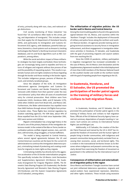of entry, primarily along with race, class, and national origin distinctions.

Civil society monitoring of these industries<sup>1</sup> has found that 'US surveillance often leads to the arrest, jailing, and deportation of immigrants'. This includes companies that supply the US Department of Homeland Security (DHS), and particularly its Immigration and Customs Enforcement (ICE) agency, with databases; powerful data systems; biometrics; cloud systems such as Amazon's; tracking technologies like Palantir's; Northrop Grumman's biometric databases; and iris and facial algorithms such as NEC Corporation's, among others.

While the racial and ethnic impact of these militaristic strategies has been largely overlooked, these technologies are increasingly being used to expedite and force returns of refugees and migrants without due process of law and the possibility of requesting asylum. This results in systematic human and civil rights violations to those migrating through the border and those residing in the border region. This includes indigenous groups, persons of Mexican descent, and similarly racialized groups.

Since the adoption of the GCM, US Immigration enforcement agencies (Immigration and Customs Enforcement and Customs and Border Protection) forcibly  $removed$  2,300 children from their parents<sup>2</sup> under the new 'zero-tolerance' policy that refers all cases of unauthorized entry for criminal prosecution. Most children were from Guatemala (1423), Honduras (848), and El Salvador (179), while other children were from Brazil (43), and Mexico (30). Furthermore, the Biden administration has expelled more than 9400 Haitians through almost 126 flights from primarily border cities. These flights face minimal regulation by aviation watchdog agencies. Per IOM data, about 44% of those expelled from the US to Haiti since September 19th, 2021 were women and children.

Migrant criminalization has a long legal history in the US and is one of the primary features of the immigration deterrence model. In the context of the War on Terror, border securitization policies conflate migrant women, men, and children, with terrorists, drug smugglers, or human traffickers.

The model is being exported to Central America, where several signed agreements between the US and Central American countries set the basis for the current US administration to continue the immigration deterrence project, criminalizing instead of protecting and creating conditions for migrants to claim rights as they migrate.

Criminalizing mobility has directly led to the aggressive acceleration of the US border externalization program. This specifically includes the US-Mexico Joint Declaration and Supplementary Agreement (US-Mexico); the Guatemala Arrangement for Irregular Migration (GAIM), The Biometric Data Sharing Program (US-Guatemala); the Border Security Agreement and Biometric Data Sharing Program (US-Honduras); and the Asylum Cooperative Agreements (US-El Salvador), among others.

### **The militarization of migration policies: the US border wall in Mexico and Central America**

Among the most troubling patterns found in the agreements signed between the US, Mexico, and countries within the 'Northern Triangle' includes the deployment of thousands of military and police forces along the northern and southern Mexican borders. US agencies provide training and ongoing technical assistance to security forces in immigration enforcement, and direct engagement in immigration deterrence activities in Honduras, El Salvador, and Guatemala with the goal of preventing migrants and asylum seekers from ever reaching the US.

Since the COVID-19 pandemic, military participation in migration management has increased considerably<sup>3</sup>. In the case of Mexico, the US-Mexico Joint Declaration and the Supplementary Agreement resulted in the initial deployment of more than 6,500 members of the Mexican National Guard on the southern border and 15,000 on the northern border with the goal of impeding people from migrating to the US.

**In Guatemala, Honduras, and El Salvador, the US promoted the participation of border patrol agents in the training of military forces and civilians to halt migration flows.**

In Guatemala, Honduras, and El Salvador, the US promoted the participation of border patrol agents in the training of military forces and civilians to halt migration flows. Officials of the US National Security Agency have carried out summary deportations of people traveling in 'caravans'. Such actions are contrary to International Human Rights Law and Refugee Law.

Additionally, in El Salvador, the creation of the Border Patrol financed and trained by the US in 2019<sup>4</sup> has impacted the freedom of movement and the human rights of people living in border communities, with indigenous and peasant communities being particularly excluded from accessing their economic, social, and territorial rights. This is evident in the transnational territories known as Ex-Bolsones where indigenous and peasant communities are regularly denied from exercising the freedom of movement as guaranteed in the settlement by the International Court of Justice.

### **Consequences of militarization and externalization of migration policy in the region**

Since Mexico and Northern Triangle countries have carried out joint militarized deterrence operations, migrants and asylum-seekers have experienced repression, detention, and other rights violations. These include using excessive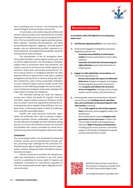

force, committing acts of torture<sup>5</sup>, and threatening their physical integrity, personal freedom, and security.

In recent years, communities along the northern and southern Mexican borders have experienced the increased deployment of military forces to carry out immigration functions. This has intensified racism against particular groups: Black migrants (including Afro-descendants and Black transcontinental migrants), indigenous, and Indo-peasant peoples, who are systematically profiled, subjected to arbitrary detention, and targeted with xenophobic narratives and other forms of discrimination.

The externalization of the US immigration deterrence project facilitates violence against women, girls, and non-binary migrant persons. This 'presumptive criminality' subjects them to persecution rather than protection, and creates a permissive environment for border agents to dehumanize, shame, beat, and sexually assault women. Victims of sexual violence in immigration detention are often deported without an opportunity to seek justice, enabling immigration policing forces to continue acting with impunity. Furthermore, policy choices purportedly undertaken to assist victimized migrant women actually worsen their situation, as anti-trafficking strategies are used to 'justify' a host of militarized immigration enforcement strategies that make migrant crossings more dangerous.

The intensified policing has made the migration journey more violent and deadly for migrants. Since the mid-2000s, migrant fatalities along the US-Mexico border have increased. Community organizations attribute the increasing death rate to migration flows shifting to more isolated routes, condemning people to death by heatstroke, thirst, and other preventable deaths.

Families and under-resourced community organizations are confronted with a web of judiciary, morgues, medical examiners, forensic pathologists, embassies, and consular officials to investigate and track individual missing persons or to ensure that individual remains are recovered and identified. Pain, trauma, and death are central and intended consequences of the immigration deterrence model.

### **Conclusion**

The current global health crisis accelerated the hardening of border controls and the externalization of border policies, presenting major challenges for the protection of inalienable human rights of migrant women and men, asylum seekers, children, and groups made vulnerable by intersectional discrimination.

Policies of deterrence contradict the inherent principles and commitments enunciated in the GCM, which commits to upholding the human rights of migrants and establishes a framework for international cooperation to save lives, and guarantee human rights safeguards at international borders.

### **Recommendations**

**In accordance with GCM Objective 8 on saving lives, states must:** 

- **Demilitarize migration policies** in law and practice.
- All personnel engaged in immigration and asylum eligibility procedures will:
	- ∙ **Guarantee accountability of enforcement entities** that have participated in human rights violations.
	- ∙ **Guarantee the protection of human/migrant rights defenders,** particularly those from vulnerable groups.
- **Engage in multi-stakeholder conversations** with civil society organizations to:
	- ∙ **Review and analyze the impact of militarized deterrence** strategies on migrants and refugees.
	- ∙ Develop migration governance frameworks. that **recognize and address the structural drivers of migration,** including climate change, systemic racism, poverty, and social violence.
- Develop gender-responsive mechanisms and protocols at all levels that **facilitate search, identification, and reunification of deceased migrants with their families,** including:
	- ∙ Provide **full support to civil society organizations** and forensic teams engaged in search and identification.
	- ∙ Work collaboratively towards **mitigation and guarantees of non-recurrence** to address the crisis of migrant deaths and disappearances.
	- ∙ Extend the **Right to Remedy and Reparation,**  including psycho-social, economic, and holistic support to the families of disappeared migrants and those that perished in transit.



Watch this video and learn more about the protection of migrants at borders from the South Texas Human Rights Center.

**www.spotlightreportmigration.org/spotlight-videos/**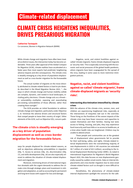# <span id="page-28-0"></span>**Climate-related displacement**

# **CLIMATE CRISIS HEIGHTENS INEQUALITIES, DRIVES PRECARIOUS MIGRATION**

#### **Catherine Tactaquin**

Co-convenor, Women in Migration Network (WIMN)

While climate change and migration have often been treated as distinct issues, the intersection today has become undeniable. Three years after approval of the Global Compact for Migration (GCM), climate realities have accelerated at a faster pace than most experts had predicted, heightening adverse impacts and dire consequences. The climate crisis is steadily emerging as a key driver of population displacement as well as cross-border migration for the foreseeable future.

The actual number of migrants on the move directly attributed to climate-related factors is hard to pin down. As described in the Mixed Migration Review 2021, "…the ways in which climate change and human mobility collide are complex, dynamic, and rooted in local landscapes, including policy decisions. Climate change acts as a threat or vulnerability—multiplier, exposing and exacerbating pre-existing vulnerabilities of those affected, rather than creating them outright."

The GCM provides an initial foundation to address climate change and migration, particularly under Objective 2, to 'minimize the adverse drivers and structural factors that compel people to leave their country of origin'. Other elements of the GCM, such as Objective 5(h), concern path-

### **The climate crisis is steadily emerging as a key driver of population displacement as well as cross-border migration for the foreseeable future.**

ways for people displaced for climate-related reasons, as well as objectives addressing vulnerabilities in migration (Obj. 7). Access to services (Obj. 15), discrimination (Obj. 17), and skills development (Obj. 18) are also especially relevant to address the situation of climate-related displacement and migration.

Moreover, minimizing drivers of international migration dovetails with the urgent demands to address the climate crisis through strategic plans and investment in mitigation and adaptation, as well as accounting for permanent and long-term losses with support for loss and damage.

Negative, racist, and violent hostilities against socalled 'climate migrants', frame climate-displaced migrants as 'security risks'. This is especially concerning with the economic and social pressures of the global health pandemic, where migrants have been scapegoated for the spread of the virus, leading in some cases to more restrictive immigration policies.

### **Negative, racist, and violent hostilities against so-called 'climate migrants', frame climate-displaced migrants as 'security risks'.**

### **Intersecting discrimination intensified by climate crises**

With the advance of the climate crisis, women, men, and children are experiencing heightened risks, especially at the intersections of inequities laid out in the overview. Those living on the frontlines of the severe impacts of the climate crisis may have fewer resources and capacities to sustain themselves and their families. Having lost land, access to fishing, housing, and jobs, they may experience food insecurity and have little or no access to healthcare, at a time when health risks are heightened. Children may be unable to attend school.

These people and communities are at the greatest risk of displacement when governments fail to provide for their well-being, safety, and rights. Climate-related internal displacements were the overwhelming majority of new displacements in 2020 in 145 countries (an estimated 30.7 million of a total of 40.5 million), according to the Internal Displacement Monitoring Center (IDMC). As noted in International Organization for Migration's World Migration Report 2022, this data focuses on new displacements generally caused by sudden-onset events. Data on internal displacements and cross-border migration due to slow-onset climate-related factors such as drought is more difficult to ascertain.

Nonetheless, the phenomena of climate-related internal displacement spotlight the concerns for the safe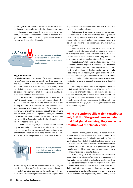ty and rights of not only the displaced, but for local populations more generally. Rural-displaced populations have moved to urban areas, raising the urgency for social protections, labor rights, and economic support to poor and marginalized communities, and to act on policies and resources to address climate-related impacts.



In 2020, an estimated 30.7 million of a total of 40.5 million internal displacements were climate-related displacements.

#### **Regional realities**

Bangladesh is often cited as one of the most 'climate-vulnerable' countries in the world, with low-lying geography and high population density. The Environmental Justice Foundation estimates that by 2050, one in every seven people in Bangladesh could be displaced by climate-related factors—with upwards of 18 million people needing to move because of sea-level rise alone.

The organization Bangladesh Nari Sramik Kendra (BNSK) recently conducted research among climate-displaced women who had moved to Dhaka, where they are among hundreds of thousands of slum dwellers. Their study revealed the disparate impact of displacement on women, who shared their concerns about the lack of work and healthcare, fears for their physical safety, and the lack of education for their children. Such conditions exemplify the insecurities of many internally displaced populations who may need to move again.

While the vast majority of climate-displaced people migrate internally, circumstances in which people must move across borders are increasing. For populations in low coastal areas, relocation has already become unavoidable. This is the case among small island states, such as Kiribati,



By 2050, one in every seven people in Bangladesh could be displaced by climate-related factors.

Tuvalu, and Fiji in the Pacific. While the entire Pacific region contributes only  $0.03\%$ <sup>1</sup> of the greenhouse emissions that fuel global warming, they are on the frontlines of the climate crisis, experiencing more extreme weather; sea-level

rise; increased sea and land salinization; loss of land, fishing, and livelihoods; and more.

In these countries, people in rural areas have already been forced to move to urban settings, seeking employment, housing, and basic survival. Population density has dramatically increased, as has more pervasive poverty, a lack of economic and social support, and pressure towards out-migration.

Even in such dire circumstances, many impacted populations strive to 'cope' with their situations, resistant to moving from their homes and communities. Those that are internally displaced, as in the BNSK study, feel the loss of community, culture, family contact, safety, and more.

In 2021, the World Bank projected a potential 86 million climate-related migrants in Africa by 2050, displaced within and among countries. According to the IDMC, almost one-third of all internal displacements worldwide take place among African nations, noting that such data can reflect displacements by rapid-onset disasters such as floods, but may not reflect (and thus under-report) displacements due to slow-onset changes such as droughts and desertification.

According to the United Nations High Commissioner for Refugees (UNHCR), by January 1, 2021, almost 3 million people were internally displaced in Somalia due to conflicts and disasters, and almost a million had crossed into neighboring countries. By the end of 2021, some 3.5 million Somalis were projected to experience food insecurity due to a three-year drought, further fueling displacement and cross-border migration.

### **While the entire Pacific region contributes only 0.03% of the greenhouse emissions that fuel global warming, they are on the frontlines of the climate crisis.**

Cross-border migration due to persistent climate-related factors has been on the rise in Central America. Guatemala, Nicaragua, and El Salvador are high on Germanwatch's Long-Term Global Climate Risk Index, according to La Ruta del Clima. Countries like these located in the Central American Dry Corridor, are prone to persistent droughts, irregular rainfall, higher and more extreme temperatures, and flooding related to climate change.

A long drought has led to crop failures over several years, stimulating migration from rural to urban areas. Multiple major hurricanes in the region have accelerated these desperate conditions and fueled out-migration, particularly to Mexico and the US, as these forced migrants have sought shelter and safety, embarking on dangerous journeys only to be repelled at borders. Many survive in camps prone to further violence and exploitation, without work, health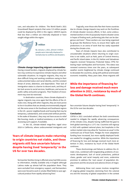care, and education for children. The World Bank's 2021 Groundswell Report projects that some 3.9 million people could be displaced by 2050 in this region; UNHCR reports that less than a million are internally displaced or have sought refuge within the region.

# **3 million**

By January 1, 2021, almost 3 million people were internally displaced in Somalia due to conflicts and disasters.

### **Climate change impacting migrant communities**

Having crossed borders, migrants displaced by climate factors may continue to experience climate impacts and other vulnerable situations. As irregular migrants, they may endure difficult living and working conditions owing to their undocumented status and racial identity, and the constant threat of arrest, detention, and deportation. Their lack of immigration status is a barrier to decent work, and they often lack access to social services, healthcare, and access to public safety and justice programs. Their freedom of movement may even be restricted.

In destination countries, these climate-displaced irregular migrants may once again feel the effects of the climate crisis. Along with other migrants, they are more prone to live in localities that are already environmentally degraded, like some areas in the Southeast and Southwest regions in the US—poorer neighborhoods and housing that may be temporary, substandard, and constructed without permits. In the wake of disasters<sup>2</sup>, they may not have access to relief like housing, meals, or medical assistance, or are fearful of accessing such support, if available.

In the US, climate-related mega-fires raged since 2018 in California, where undocumented immigrants and

**Years of climate impacts make returning to origin countries not viable, and these migrants still face uncertain futures despite having lived 'temporarily' in the US for over two decades.**

farmworker families living in affected areas had little access to information, initially available only in English although Latinos make up almost half the population there. They were excluded from emergency support, and farmworkers were even forced to work in smoke-filled fields to save agricultural produce from rapidly advancing fires<sup>3</sup>.

Tragically, even those who flee their home countries due to climate change impacts may work on the frontlines of climate disaster recovery efforts. In fact, some undocumented workers in the US purposely head to disaster zones in hopes of finding work, performing jobs that can be dangerous and [toxic4](#page-33-0) . These workers are now being organized by groups like Resilience Force, to ensure their rights and protections in an arena of work that has vastly expanded during the climate crisis.

Years of climate impacts have also contributed to unsustainable situations where returning to origin countries is not viable, such as Haiti, parts of Central America, and Pacific island states. In the US, Haitian and Salvadoran migrants received Temporary Protected Status (TPS) following major earthquakes and hurricanes. This status was renewed numerous times over the years, as subsequent weather events heightened by climate change continued to devastate the countries, along with political and broader economic instability. Many years later, these migrants still

**While the importance of financing for loss and damage received much more attention in 2021, resistance by much of the Global North continues.**

face uncertain futures despite having lived 'temporarily' in the US for over two decades.

### **Conclusion**

COP26 in 2021 concluded without the bold commitments needed to mitigate the rapidly advancing consequences of the climate crisis, despite having reaffirmed the goal to limit global warming to a 1.5°C rise. Countries will regroup in 2022 with updated national plans, but loopholes in the carbon market rules may allow for 'business as usual' in the continued use of fossil fuels. Pledges for more adaptation funding have increased, but more rapidly-deployed funds are needed for struggling countries. While the importance of financing for loss and damage received much more attention in 2021, resistance by much of the Global North continues.

These shortcomings and failures to address the climate crisis, combined with longstanding problems of economic development, lack of social protections, political chaos, gender and racial inequity and more, undermine promises to address the 'root causes' of population displacement and the structural and adverse drivers of migration.

Addressing these root causes involves recognition of ongoing global inequities stemming from the colonial era and the necessity of global cooperation in the context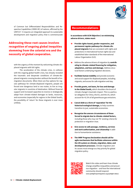

of Common but Differentiated Responsibilities and Respective Capabilities (CBDR–RC) of nations, affirmed by the UNFCCC<sup>5</sup>. It requires an integrated approach to sustainable development and migration policy that is commensurate

## **Addressing these root causes involves recognition of ongoing global inequities stemming from the colonial era and the necessity of global cooperation.**

with the urgency of the moment by welcoming climate-displaced migrants with full rights.

The acceleration of the climate crisis, in collision with the ongoing global health crisis, has sharply revealed the traumatic and desperate conditions of climate-displaced migrants crossing borders without the benefit of immigration documents. When there are few options for regular pathways for climate-displaced migrants, people are forced over dangerous land or sea routes, to live as irregular migrants in countries of destination. Without financial support and increased capacities to reverse or strategically adapt from climate-related damages to lands, resources, and economies (especially for regions in the Global South), the possibility of 'return' for these migrants is ever more unlikely.

### **Recommendations**

**In accordance with GCM Objective 2 on minimizing adverse drivers, states must:** 

- Provide rights-based, gender-responsive, and **permanent regular pathways for climate-displaced migrants** that are consistent with rights and protections in international human rights law and established labor standards of the International Labour Organization (ILO).
- Address the adverse drivers of migration by **contributing to climate-related financing for mitigation, adaptation, and loss and damage.** Address structural factors underlying migration decisions.
- **Facilitate human mobility** and provide economic and social support for displaced peoples, including migrants, and access for safe migration and stay.
- Provide grants, not loans, for loss and damage **in the Global South,** which shoulders the brunt of climate change's traumatic impact. This is a particular obligation for China, the EU, and the US, which account for 41.5% of all greenhouse gas emissions.
- Cancel debt as a form of 'reparation' for the **historical ecological damage,** to help countries transition to just, sustainable economies.
- **Recognize the uneven circumstances of those forced to migrate due to climate-related factors,**  including those who may not 'fit' existing criteria for protection or migration visas.
- Give access to safe passage, residency, services **and work authorization, and citizenship** in addition to humanitarian assistance.
- **The IMRF Progress Declaration should call for agile mechanisms that facilitate coherence within the UN system on climate, migration, labor, and development processes.** Climate-migration and its causes must emerge as a key priority for global migration policy.



**www.spotlightreportmigration.org/spotlight-videos/** Watch this video and learn how climate change amplifies inequalities and precarious migration – and how the international community should respond.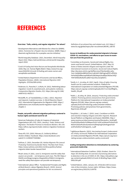# <span id="page-32-0"></span>**REFERENCES**

### **Overview: "Safe, orderly, and regular migration" for whom?**

- <sup>1</sup> Development Alternatives with Women for a New Era (DAWN). (2021). *Feminists for a People's Vaccine Initiative*. DAWN. https:// [dawnnet.org/feminists-for-a-peoples-vaccine-initiative/](https://dawnnet.org/feminists-for-a-peoples-vaccine-initiative/)
- 2 World Inequality Database. (2021, December). *World Inequality Report 2022*[. https://wid.world/news-article/world-inequality](https://wid.world/news-article/world-inequality-report-2022/)report-2022/
- <sup>3</sup>*Covid-19 Fueling Anti-Asian Racism and Xenophobia Worldwide*. [\(2020, May 12\). Human Rights Watch. https://www.hrw.org/](https://www.hrw.org/news/2020/05/12/covid-19-fueling-anti-asian-racism-and-xenophobia-worldwide) news/2020/05/12/covid-19-fueling-anti-asian-racism-andxenophobia-worldwide
- 4 United Nations Department of Economic and Social Affairs, Population Division. (2020). *International Migration 2020 Highlights*. (ST/ESA/SER.A/452).
- 5 Anderson, B., Poeschel, F., & Ruhs, M. (2021). Rethinking labour migration: Covid-19, essential work, and systemic resilience. *[Comparative Migration Studies](https://doi.org/10.1186/s40878-021-00252-2)*, *9*(1). https://doi.org/10.1186/ s40878-021-00252-2
- 6 McAuliffe, M., & Triandafyllidou, A. (Eds.). (2021). *Migration and migrants: A global overview. In: World Migration Report 2022*. International Organization for Migration (IOM). https:// [publications.iom.int/books/world-migration-report-2022](https://publications.iom.int/books/world-migration-report-2022-chapter-2) chapter-2

#### **People, not profit: coherent migration pathways centered in human rights and decent work for all**

- <sup>1</sup> American Federation of Labor & Congress of Industrial Organizations (AFL-CIO). (2015, January). *Trade, Violence and Migration: The Broken Promises to Honduran Workers*. AFL-CIO. [https://aflcio.org/reports/trade-violence-migration-honduran](https://aflcio.org/reports/trade-violence-migration-honduran-workers)workers
- 2 Texas AFL-CIO. (2020, February 5). *Solidarity Without Borders* [\[Video\]. Facebook. https://www.facebook.com/](https://www.facebook.com/watch/?v=1159044774445862) watch/?v=1159044774445862
- 3 Sullivan, E. (2021, December 20). *Haitian Migrants File Lawsuit Protesting Treatmesnt by Border Patrol*. The New York Times. [https://www.nytimes.com/2021/12/20/us/politics/haitian](https://www.nytimes.com/2021/12/20/us/politics/haitian-migrants-biden-border-lawsuit.html)migrants-biden-border-lawsuit.html
- 4 Micah-Jones, R. (2021, June 3). *Immigrants need the safety that asylum can provide — not temporary work visas*. The Hill. https:// [thehill.com/blogs/congress-blog/politics/556612-immigrants](https://thehill.com/blogs/congress-blog/politics/556612-immigrants-need-the-safety-that-asylum-can-provide-not-temporary)need-the-safety-that-asylum-can-provide-not-temporary
- 5 International Labour Office Fundamental Principles and Rights at Work Branch, Labour Migration Branch. (2019). *General principles and operational guidelines for fair recruitment &*

*Definition of recruitment fees and related costs*. ILO. https:// [www.ilo.org/global/topics/fair-recruitment/WCMS\\_536755](https://www.ilo.org/global/topics/fair-recruitment/WCMS_536755)

#### **Access to healthcare for undocumented migrants in Europe: COVID-19, vaccinations, and efforts to spur access to essential care from the ground up**

<sup>1</sup> Committee on Economic, Social and Cultural Rights, Economic and Social Council, United Nations. (2017, May 13). *Duties of States towards refugees and migrants under the International Covenant on Economic, Social and Cultural Rights*. http://docstore.ohchr.org/SelfServices/FilesHandler.ashx- [?enc=4slQ6QSmlBEDzFEovLCuW1AVC1NkPsgUedPlF1vfPMJb-](http://docstore.ohchr.org/SelfServices/FilesHandler.ashx?enc=4slQ6QSmlBEDzFEovLCuW1AVC1NkPsgUedPlF1vfPMJbFePxX56jVyNBwivepPdlEe4%2BUb4qsdJhuBDpCRSOwCXPjZ7VN7SXN0oRoXkZhCuB9Z73iyU35LZveUjX0d7u)FePxX56jVyNBwivepPdlEe4%2BUb4qsdJhuBDpCRSOwCXPjZ-7VN7SXN0oRoXkZhCuB9Z73iyU35LZveUjX0d7u

2 Smith, A. C., & LeVoy, M. (2017, April). *Cities of rights: Ensuring health care for undocumented residents*. Platform for International Cooperation on Undocumented Migrants (PICUM). [https://picum.org/wp-content/uploads/2017/11/CityOfRights\\_](https://picum.org/wp-content/uploads/2017/11/CityOfRights_Health_EN.pdf) Health\_EN.pdf

3 Keith, L., & LeVoy, M. (2018, January). *Protecting undocumented children: Promising policies and practices from governments*. Platform for International Cooperation on Undocumented Migrants (PICUM). https://picum.org/wp-content/ [uploads/2019/10/Protecting-undocumented-children-](https://picum.org/wp-content/uploads/2019/10/Protecting-undocumented-children-Promising-policies-and-practices-from-governments_ReprintJan.2018.pdf)Promising-policies-and-practices-from-governments\_ ReprintJan.2018.pdf

- 4 Vosyliūtė, L., & Conte, C. (2019, June). *Crackdown on NGOs and volunteers helping refugees and other migrants*. Research Social Platform on Migration and Asylum (ReSOMA). http:// www.resoma.eu/sites/resoma/resoma/files/policy\_brief/pdf/ [Final%20Synthetic%20Report%20-%20Crackdown%20on%20](http://www.resoma.eu/sites/resoma/resoma/files/policy_brief/pdf/Final%20Synthetic%20Report%20-%20Crackdown%20on%20NGOs%20and%20volunteers%20helping%20refugees%20and%20other%20migrants_1.pdf) NGOs%20and%20volunteers%20helping%20refugees%20 and%20other%20migrants\_1.pdf
- 5 Lighthouse Reports. (2021). *Vaccinating Europe's Undocumented: A Policy Scorecard*. Platform for International Cooperation [on Undocumented Migrants \(PICUM\). https://picum.org/vacci](https://picum.org/vaccinating-europe-undocumented-a-policy-scorecard/)nating-europe-undocumented-a-policy-scorecard/

#### **Ending immigration detention & criminalization by centering grassroots leadership**

- 1 International Detention Coalition. (2020, October). *Room For Hope: IDC Briefing Note: An overview of promising alternatives to detention in the era of COVID-19*. IDC. https://idcoalition.org/ [wp-content/uploads/2020/11/Covid-19-Briefing-Paper-2020-](https://idcoalition.org/wp-content/uploads/2020/11/Covid-19-Briefing-Paper-2020-ENGLISH.pdf) ENGLISH.pdf
- 2 United Nations. (2022, January 14). *UK Borders Bill increases [risks of discrimination, human rights](https://news.un.org/en/story/2022/01/1109792)*. UN News. https://news. un.org/en/story/2022/01/1109792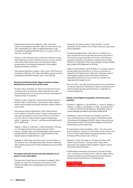- <span id="page-33-0"></span>3 United Nations Network on Migration. (2021, February). *COVID-19 & Immigration Detention: What Can Governments and Other Stakeholders Do?*. https://migrationnetwork.un.org/ [sites/g/files/tmzbdl416/files/docs/annex\\_to\\_policy\\_brief\\_on\\_](https://migrationnetwork.un.org/sites/g/files/tmzbdl416/files/docs/annex_to_policy_brief_on_atd_and_covid-19.pdf) atd\_and\_covid-19.pdf
- 4 Iliadou, E. (2021, May 24). *Places in Nowhere: Detention Centres, Police Departments and Pre-Removal Centres in Greece*. Oxford [Law Faculty. https://www.law.ox.ac.uk/research-subject](https://www.law.ox.ac.uk/research-subject-groups/centre-criminology/centreborder-criminologies/blog/2021/05/places-nowhere)groups/centre-criminology/centreborder-criminologies/ blog/2021/05/places-nowhere

5 International Detention Coalition. (2016, June). *LGBTI Persons in Immigration Detention*. IDC. https://idcoalition.org/wp-content/ [uploads/2016/06/LGBTI-Position\\_web\\_June-2016.pdf](https://idcoalition.org/wp-content/uploads/2016/06/LGBTI-Position_web_June-2016.pdf)

### **Moving for livelihood and life: Migrant domestic workers between Africa and the Gulf and the Levant**

1 The Star. (2021, December 13). *Amount sent home by Kenyans in diaspora drops in November*. https://www.the-star.co.ke/ [business/kenya/2021-12-13-amount-sent-home-by-kenyans-in](https://www.the-star.co.ke/business/kenya/2021-12-13-amount-sent-home-by-kenyans-in-diaspora-drops-in-november/)diaspora-drops-in-november/

- 2 Odindo, N. (2021, August 26). *Revealed: Why Kenyan Domestic Workers Suffer In Saudi Arabia*. Labour.Watch. https://labour. [watch/news/revealed-why-kenyan-domestic-workers-suffer-in](https://labour.watch/news/revealed-why-kenyan-domestic-workers-suffer-in-saudi-arabia)saudi-arabia
- 3 International Labour Organization. (2021). *Making decent work a reality for domestic workers: Progress and prospects ten years after the adoption of the Domestic Workers Convention, 2011 (No. 189)*. ILO. https://www.ilo.org/wcmsp5/groups/ [public/---dgreports/---dcomm/---publ/documents/publication/](https://www.ilo.org/wcmsp5/groups/public/---dgreports/---dcomm/---publ/documents/publication/wcms_802551.pdf) wcms\_802551.pdf
- 4 Dagher, J., Wood, D., & Boswall, J. (2020, November). *Cleaning up: The shady industries that exploit Lebanon's kafala workers*. Triangle. https://www.thinktriangle.net/wp-content/ [uploads/2020/11/Cleaning-Up-The-Shady-Industries-That-](https://www.thinktriangle.net/wp-content/uploads/2020/11/Cleaning-Up-The-Shady-Industries-That-Exploit-Lebanons-Kafala-Workers-1.pdf)Exploit-Lebanons-Kafala-Workers-1.pdf

5 Seghaier, R. (2020, May). *Domestic workers at the frontlines of the COVID-19 crisis*. International Domestic Workers Federation. [https://idwfed.org/en/covid-19/the-idwf/advocacy/mena-brief](https://idwfed.org/en/covid-19/the-idwf/advocacy/mena-brief-final.pdf)final.pdf

#### **The impacts of border controls and externalization on migrants in social vulnerability**

<sup>1</sup> The American Friends Service Committee: Investigate. (2021, October 15). *High-Tech Surveillance of Immigrants*. AFSC. [https://investigate.afsc.org/tags/high-tech-surveillance](https://investigate.afsc.org/tags/high-tech-surveillance-immigrants)immigrants

2 American Civil Liberties Union. (2018, October 2). *Family separation: By the numbers*[. ACLU. https://www.aclu.org/issues/](https://www.aclu.org/issues/family-separation) family-separation

3 Secretaría de gobernación. (2020, May 11). *ACUERDO por el que se dispone de la Fuerza Armada permanente para llevar a cabo tareas de seguridad pública de manera extraordinaria, regulada, fiscalizada, subordinada y complementaria*. Diario [Oficial de La Federación. https://www.dof.gob.mx/nota\\_detalle.](https://www.dof.gob.mx/nota_detalle.php?codigo=5593105&fecha=11/05/2020) php?codigo=5593105&fecha=11/05/2020

- 4 Gobierno de El Salvador. (2019, October 17). *Secretario interino de Seguridad Nacional de EE.UU. se reúne con ministros de Seguridad del Triángulo Norte*. Migración y Extranjera. https:// www.migracion.gob.sv/noticias/secretario-interino-de[seguridad-nacional-de-ee-uu-se-reune-con-ministros-de](https://www.migracion.gob.sv/noticias/secretario-interino-de-seguridad-nacional-de-ee-uu-se-reune-con-ministros-de-seguridad-del-triangulo-norte/)seguridad-del-triangulo-norte/
- 5 Bucio, N. (2021, June 28). *Guardia Nacional tortura a migrantes en estación migratoria*. MVS Noticias. https://mvsnoticias.com/ [noticias/estados/guardia-nacional-tortura-a-migrantes-en](https://mvsnoticias.com/noticias/estados/guardia-nacional-tortura-a-migrantes-en-estacion-migratoria/)estacion-migratoria/

### **Climate crisis heightens inequalities, drives precarious migration**

<sup>1</sup> Clement, V., Rigaud, K. K., de Sherbinin, A., Jones, B., Adamo, S., Schewe, J., Sadiq, N., & Shabahat, E. (2021). *Groundswell Part 2 : Acting on Internal Climate Migration*. World Bank. https:// [openknowledge.worldbank.org/handle/10986/36248](https://openknowledge.worldbank.org/handle/10986/36248)

2 Nabanoba, S. (2021, November 23). *Refugees count their losses as floods destroy camp in Sudan*. United Nations High [Commissioner for Refugees \(UNHCR\). https://www.unhcr.org/](https://www.unhcr.org/uk/news/stories/2021/11/619c9aea4/refugees-count-losses-floods-destroy-camp-sudan.html) uk/news/stories/2021/11/619c9aea4/refugees-count-lossesfloods-destroy-camp-sudan.html

3 Environmental Justice Foundation. (2021). *"You will see who gets the lifeboats": Injustice on the frontlines of the climate crisis in the US*[. https://ejfoundation.org/reports/injustice-on-the](https://ejfoundation.org/reports/injustice-on-the-frontlines-of-the-climate-crisis-in-the-us)frontlines-of-the-climate-crisis-in-the-us

4 Stillman, S. (2021, November 1). *The Migrant Workers Who Follow Climate Disasters*. The New Yorker. https://www. [newyorker.com/magazine/2021/11/08/the-migrant-workers](https://www.newyorker.com/magazine/2021/11/08/the-migrant-workers-who-follow-climate-disasters)who-follow-climate-disasters

<sup>5</sup> United Nations Framework Convention on Climate Change. (n.d.). *Introduction to Climate Finance*. UNFCCC. https://unfccc. [int/topics/climate-finance/the-big-picture/introduction-to](https://unfccc.int/topics/climate-finance/the-big-picture/introduction-to-climate-finance/introduction-to-climate-finance)climate-finance/introduction-to-climate-finance

 Full bibliography: www.spotlightreportmigration.org/resources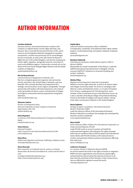# <span id="page-34-0"></span>**AUTHOR INFORMATION**

#### **Carolina Gottardo**

*Executive Director, International Detention Coalition (IDC)* Carolina is a migrant lawyer, human rights advocate, and feminist. She is currently the Executive Director of IDC, which works to end immigration detention alongside its members and partners. Carolina was previously CEO of Jesuit Refugee Service in Australia, as well as the Latin American Women's Rights Service in the United Kingdom, and she has championed human rights, migration, and gender issues for more than 20 years across different regions. Carolina also currently sits on the board of the Asia Pacific Refugee Rights Network and the Global Coalition on Migration.

*cgottardo@idcoalition.org*

#### **Mia-lia Boua Kiernan**

*Communications & engagement coordinator, IDC* Mia-lia is a longtime grassroots organizer and community activist, primarily in the United States, Cambodia, and now Australia. She currently develops and implements IDC's strategic communications across regions and globally. Through partnership with leaders with lived experiences, she works to center grounded narratives, visions, and demands of refugee and migrant communities directly impacted by immigration detention.

*mkiernan@idcoalition.org*

#### **Shannon Lederer**

*Director of Immigration Policy American Federation of Labor Congress of Industrial Organizations (AFL-CIO) slederer@aflcio.org*

#### **Alma Maquitico**

*Co-director of the National Network for Immigrant and Refugee Rights. amaquitico@nnirr.org* 

#### **Yanira Merino**

*National President Labor Council for Latin American Advancement (LCLAA) ymerino@lclaa.org*

#### **Neha Misra**

*Global Lead, Migration and Human Trafficking, Solidarity Center nmisra@solidaritycenter.org*

#### **Alicia Moncada**

*Main researcher at Fundación para la Justicia y el Estado Democrático de Derecho (Foundation for Justice and the Rule of Law). investigacion@fundacionjusticia.org /* 

*https://www.fundacionjusticia.org/* 

#### **Sophia Njiru**

*Industrial relations and projects officer, KUDHEIHA* Conceptualize, coordinate, and implement labor rights-related projects, conducting training, and support employer-employee relations.

*njirusophia@gmail.com*

#### **Bandana Pattanaik**

*International Coordinator, Global Alliance Against Traffic in Women (GAATW)*

Responsible for overall coordination of the Alliance. Leads the GAATW International Secretariat team in Bangkok. Directly oversees GAATW-IS' initiatives on movement building and workers' solidarity. *bandana@gaatw.org*

#### **Mishka Pillay**

*Migration & lived experience advocate & campaigner* Mishka is a human rights advocate, as well as an asylum seeker and refugee community leader. He works on campaigns with Allies for Justice and Detention Action, is a Trustee at Freedom from Torture, a spokesperson for One Strong Voice, and a member of the Coordination Group of the Detention Forum. He is also a member of the Royal College of Psychiatrists Working Group on the health of refugees and asylum seekers, among many other social justice initiatives in the United Kingdom.

#### **Roula Seghaier**

*Strategic program coordinator, International Domestic Workers Federation (IDWF)*

Leads the advocacy efforts of the International Domestic Workers Federation according to the strategic plan developed by domestic workers worldwide. *roula.seghaier@idwfed.org*

#### **Alyna Smith**

*Senior Advocacy Officer, Platform for International Cooperation on Undocumented Migrants (PICUM)*

Leads PICUM's work on access to justice and health for undocumented migrants, advocating for the rights of people with insecure residence status at the European and international levels. Works with PICUM members at the national level to monitor and positively influence policies and practices affecting their daily lives.

*alyna.smith@picum.org*

#### **Catherine Tactaquin**

*Co-convenor, Women in Migration Network (WIMN)* An activist network focused on the rights of women in migration, WIMN convenes organizations and activists to expand rightscentered policies that prioritize the interests of women in all their diversity and those of their families, in their various forms, who are affected by migration around the world. *ctactaquin@gmail.com*